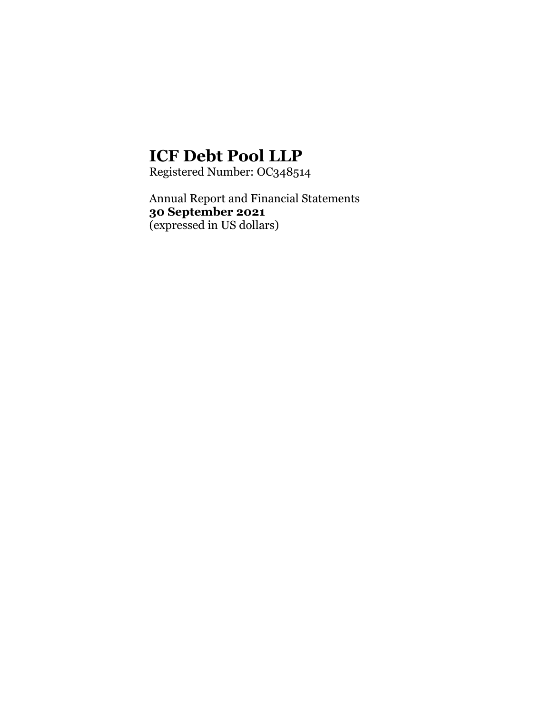Registered Number: OC348514

Annual Report and Financial Statements **30 September 2021**  (expressed in US dollars)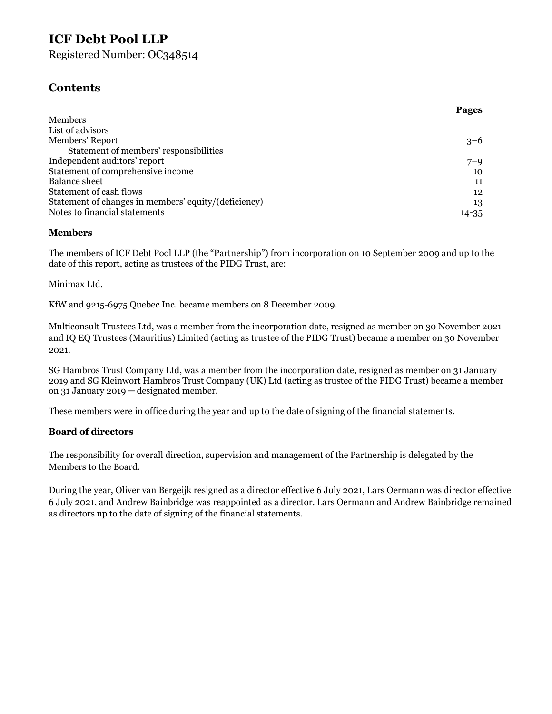Registered Number: OC348514

## **Contents**

| <b>Pages</b> |
|--------------|
|              |
|              |
| $3 - 6$      |
|              |
| $7 - 9$      |
| 10           |
| 11           |
| 12           |
| 13           |
| $14 - 35$    |
|              |

#### **Members**

The members of ICF Debt Pool LLP (the "Partnership") from incorporation on 10 September 2009 and up to the date of this report, acting as trustees of the PIDG Trust, are:

Minimax Ltd.

KfW and 9215-6975 Quebec Inc. became members on 8 December 2009.

Multiconsult Trustees Ltd, was a member from the incorporation date, resigned as member on 30 November 2021 and IQ EQ Trustees (Mauritius) Limited (acting as trustee of the PIDG Trust) became a member on 30 November 2021.

SG Hambros Trust Company Ltd, was a member from the incorporation date, resigned as member on 31 January 2019 and SG Kleinwort Hambros Trust Company (UK) Ltd (acting as trustee of the PIDG Trust) became a member on 31 January 2019 ─ designated member.

These members were in office during the year and up to the date of signing of the financial statements.

#### **Board of directors**

The responsibility for overall direction, supervision and management of the Partnership is delegated by the Members to the Board.

During the year, Oliver van Bergeijk resigned as a director effective 6 July 2021, Lars Oermann was director effective 6 July 2021, and Andrew Bainbridge was reappointed as a director. Lars Oermann and Andrew Bainbridge remained as directors up to the date of signing of the financial statements.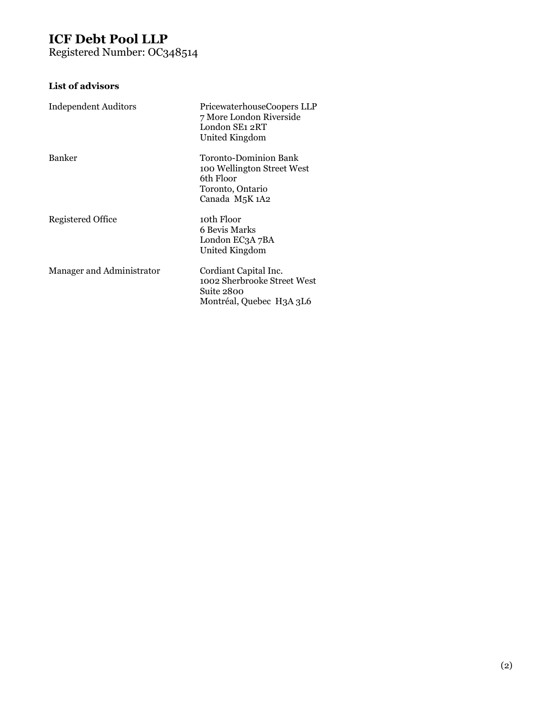Registered Number: OC348514

## **List of advisors**

| <b>Independent Auditors</b> | PricewaterhouseCoopers LLP<br>7 More London Riverside<br>London SE1 2RT<br>United Kingdom              |
|-----------------------------|--------------------------------------------------------------------------------------------------------|
| <b>Banker</b>               | Toronto-Dominion Bank<br>100 Wellington Street West<br>6th Floor<br>Toronto, Ontario<br>Canada M5K 1A2 |
| Registered Office           | 10th Floor<br>6 Bevis Marks<br>London EC3A 7BA<br>United Kingdom                                       |
| Manager and Administrator   | Cordiant Capital Inc.<br>1002 Sherbrooke Street West<br>Suite 2800<br>Montréal, Quebec H3A 3L6         |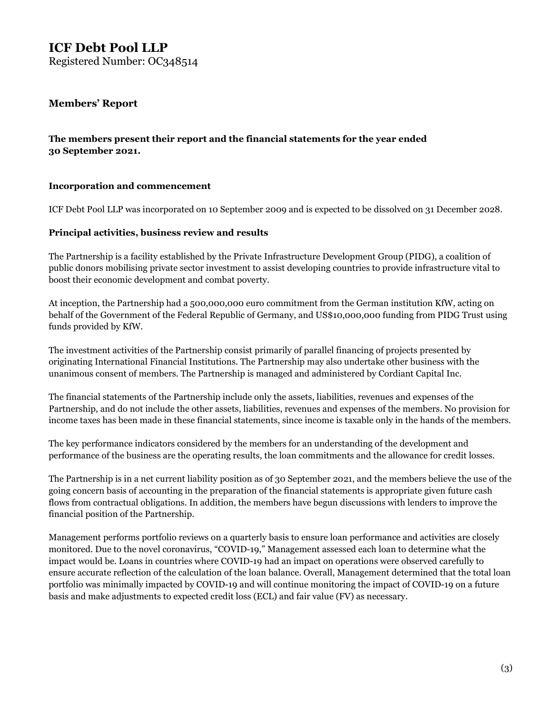Registered Number: OC348514

#### **Members' Report**

#### **The members present their report and the financial statements for the year ended 30 September 2021.**

#### **Incorporation and commencement**

ICF Debt Pool LLP was incorporated on 10 September 2009 and is expected to be dissolved on 31 December 2028.

#### **Principal activities, business review and results**

The Partnership is a facility established by the Private Infrastructure Development Group (PIDG), a coalition of public donors mobilising private sector investment to assist developing countries to provide infrastructure vital to boost their economic development and combat poverty.

At inception, the Partnership had a 500,000,000 euro commitment from the German institution KfW, acting on behalf of the Government of the Federal Republic of Germany, and US\$10,000,000 funding from PIDG Trust using funds provided by KfW.

The investment activities of the Partnership consist primarily of parallel financing of projects presented by originating International Financial Institutions. The Partnership may also undertake other business with the unanimous consent of members. The Partnership is managed and administered by Cordiant Capital Inc.

The financial statements of the Partnership include only the assets, liabilities, revenues and expenses of the Partnership, and do not include the other assets, liabilities, revenues and expenses of the members. No provision for income taxes has been made in these financial statements, since income is taxable only in the hands of the members.

The key performance indicators considered by the members for an understanding of the development and performance of the business are the operating results, the loan commitments and the allowance for credit losses.

The Partnership is in a net current liability position as of 30 September 2021, and the members believe the use of the going concern basis of accounting in the preparation of the financial statements is appropriate given future cash flows from contractual obligations. In addition, the members have begun discussions with lenders to improve the financial position of the Partnership.

Management performs portfolio reviews on a quarterly basis to ensure loan performance and activities are closely monitored. Due to the novel coronavirus, "COVID-19," Management assessed each loan to determine what the impact would be. Loans in countries where COVID-19 had an impact on operations were observed carefully to ensure accurate reflection of the calculation of the loan balance. Overall, Management determined that the total loan portfolio was minimally impacted by COVID-19 and will continue monitoring the impact of COVID-19 on a future basis and make adjustments to expected credit loss (ECL) and fair value (FV) as necessary.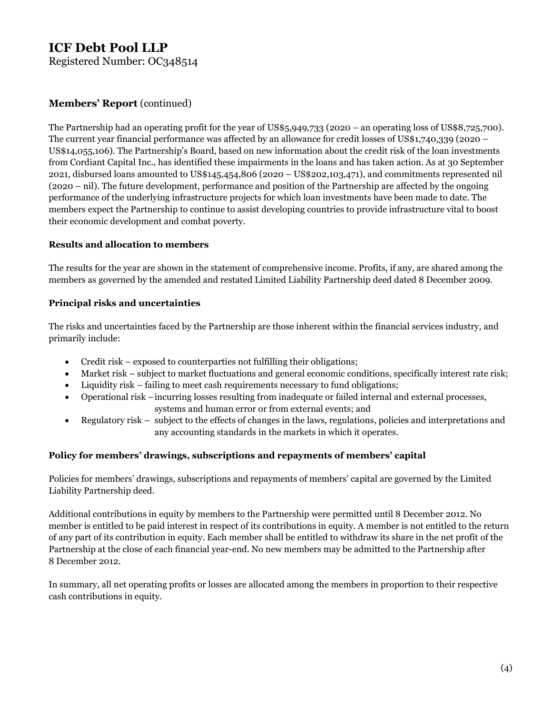Registered Number: OC348514

#### **Members' Report** (continued)

The Partnership had an operating profit for the year of US\$5,949,733 (2020 – an operating loss of US\$8,725,700). The current year financial performance was affected by an allowance for credit losses of US\$1,740,339 (2020 – US\$14,055,106). The Partnership's Board, based on new information about the credit risk of the loan investments from Cordiant Capital Inc., has identified these impairments in the loans and has taken action. As at 30 September 2021, disbursed loans amounted to US\$145,454,806 (2020 – US\$202,103,471), and commitments represented nil (2020 – nil). The future development, performance and position of the Partnership are affected by the ongoing performance of the underlying infrastructure projects for which loan investments have been made to date. The members expect the Partnership to continue to assist developing countries to provide infrastructure vital to boost their economic development and combat poverty.

#### **Results and allocation to members**

The results for the year are shown in the statement of comprehensive income. Profits, if any, are shared among the members as governed by the amended and restated Limited Liability Partnership deed dated 8 December 2009.

#### **Principal risks and uncertainties**

The risks and uncertainties faced by the Partnership are those inherent within the financial services industry, and primarily include:

- Credit risk exposed to counterparties not fulfilling their obligations;
- Market risk subject to market fluctuations and general economic conditions, specifically interest rate risk;
- Liquidity risk failing to meet cash requirements necessary to fund obligations;
- Operational risk incurring losses resulting from inadequate or failed internal and external processes, systems and human error or from external events; and
- Regulatory risk subject to the effects of changes in the laws, regulations, policies and interpretations and any accounting standards in the markets in which it operates.

#### **Policy for members' drawings, subscriptions and repayments of members' capital**

Policies for members' drawings, subscriptions and repayments of members' capital are governed by the Limited Liability Partnership deed.

Additional contributions in equity by members to the Partnership were permitted until 8 December 2012. No member is entitled to be paid interest in respect of its contributions in equity. A member is not entitled to the return of any part of its contribution in equity. Each member shall be entitled to withdraw its share in the net profit of the Partnership at the close of each financial year-end. No new members may be admitted to the Partnership after 8 December 2012.

In summary, all net operating profits or losses are allocated among the members in proportion to their respective cash contributions in equity.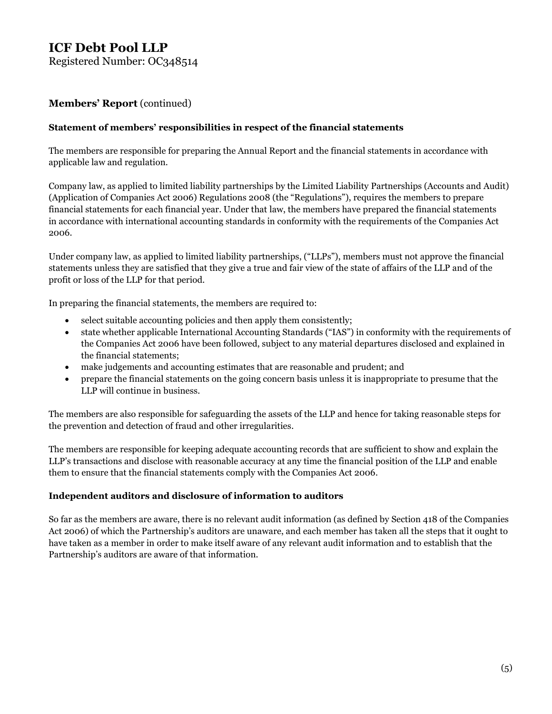Registered Number: OC348514

#### **Members' Report** (continued)

#### **Statement of members' responsibilities in respect of the financial statements**

The members are responsible for preparing the Annual Report and the financial statements in accordance with applicable law and regulation.

Company law, as applied to limited liability partnerships by the Limited Liability Partnerships (Accounts and Audit) (Application of Companies Act 2006) Regulations 2008 (the "Regulations"), requires the members to prepare financial statements for each financial year. Under that law, the members have prepared the financial statements in accordance with international accounting standards in conformity with the requirements of the Companies Act 2006.

Under company law, as applied to limited liability partnerships, ("LLPs"), members must not approve the financial statements unless they are satisfied that they give a true and fair view of the state of affairs of the LLP and of the profit or loss of the LLP for that period.

In preparing the financial statements, the members are required to:

- select suitable accounting policies and then apply them consistently;
- state whether applicable International Accounting Standards ("IAS") in conformity with the requirements of the Companies Act 2006 have been followed, subject to any material departures disclosed and explained in the financial statements;
- make judgements and accounting estimates that are reasonable and prudent; and
- prepare the financial statements on the going concern basis unless it is inappropriate to presume that the LLP will continue in business.

The members are also responsible for safeguarding the assets of the LLP and hence for taking reasonable steps for the prevention and detection of fraud and other irregularities.

The members are responsible for keeping adequate accounting records that are sufficient to show and explain the LLP's transactions and disclose with reasonable accuracy at any time the financial position of the LLP and enable them to ensure that the financial statements comply with the Companies Act 2006.

#### **Independent auditors and disclosure of information to auditors**

So far as the members are aware, there is no relevant audit information (as defined by Section 418 of the Companies Act 2006) of which the Partnership's auditors are unaware, and each member has taken all the steps that it ought to have taken as a member in order to make itself aware of any relevant audit information and to establish that the Partnership's auditors are aware of that information.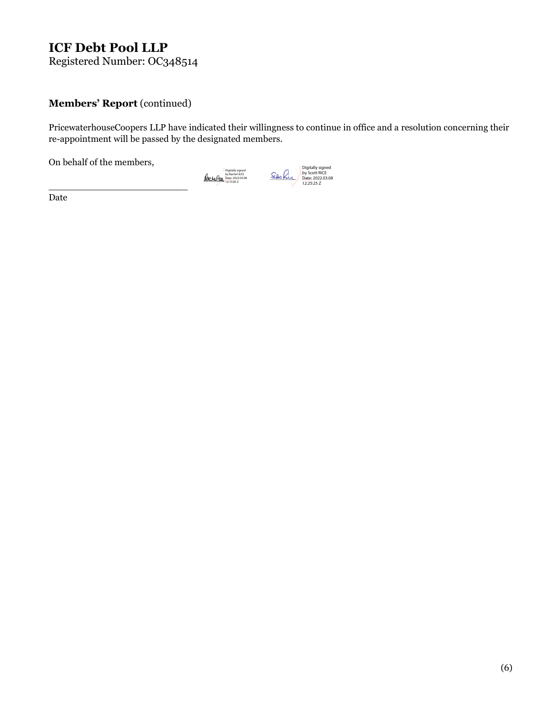Registered Number: OC348514

#### Members' Report (continued)

\_\_\_\_\_\_\_\_\_\_\_\_\_\_\_\_\_\_\_\_\_\_\_\_

PricewaterhouseCoopers LLP have indicated their willingness to continue in office and a resolution concerning their re-appointment will be passed by the designated members.

On behalf of the members,



Date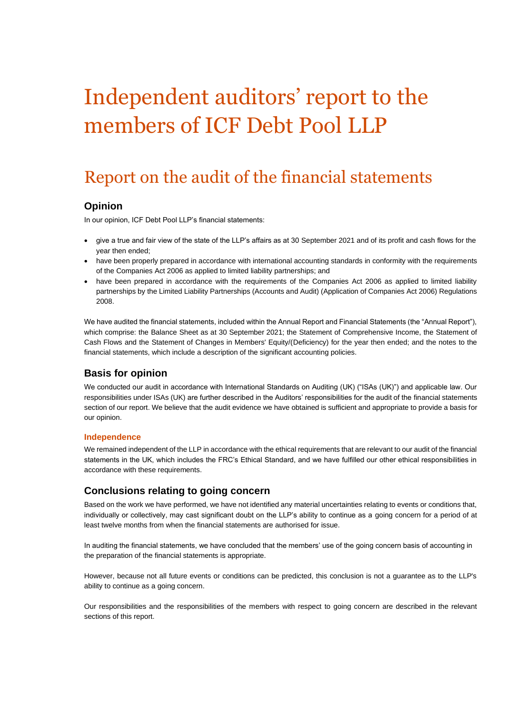# Independent auditors' report to the members of ICF Debt Pool LLP

## Report on the audit of the financial statements

#### **Opinion**

In our opinion, ICF Debt Pool LLP's financial statements:

- give a true and fair view of the state of the LLP's affairs as at 30 September 2021 and of its profit and cash flows for the year then ended;
- have been properly prepared in accordance with international accounting standards in conformity with the requirements of the Companies Act 2006 as applied to limited liability partnerships; and
- have been prepared in accordance with the requirements of the Companies Act 2006 as applied to limited liability partnerships by the Limited Liability Partnerships (Accounts and Audit) (Application of Companies Act 2006) Regulations 2008.

We have audited the financial statements, included within the Annual Report and Financial Statements (the "Annual Report"), which comprise: the Balance Sheet as at 30 September 2021; the Statement of Comprehensive Income, the Statement of Cash Flows and the Statement of Changes in Members' Equity/(Deficiency) for the year then ended; and the notes to the financial statements, which include a description of the significant accounting policies.

#### **Basis for opinion**

We conducted our audit in accordance with International Standards on Auditing (UK) ("ISAs (UK)") and applicable law. Our responsibilities under ISAs (UK) are further described in the Auditors' responsibilities for the audit of the financial statements section of our report. We believe that the audit evidence we have obtained is sufficient and appropriate to provide a basis for our opinion.

#### **Independence**

We remained independent of the LLP in accordance with the ethical requirements that are relevant to our audit of the financial statements in the UK, which includes the FRC's Ethical Standard, and we have fulfilled our other ethical responsibilities in accordance with these requirements.

#### **Conclusions relating to going concern**

Based on the work we have performed, we have not identified any material uncertainties relating to events or conditions that, individually or collectively, may cast significant doubt on the LLP's ability to continue as a going concern for a period of at least twelve months from when the financial statements are authorised for issue.

In auditing the financial statements, we have concluded that the members' use of the going concern basis of accounting in the preparation of the financial statements is appropriate.

However, because not all future events or conditions can be predicted, this conclusion is not a guarantee as to the LLP's ability to continue as a going concern.

Our responsibilities and the responsibilities of the members with respect to going concern are described in the relevant sections of this report.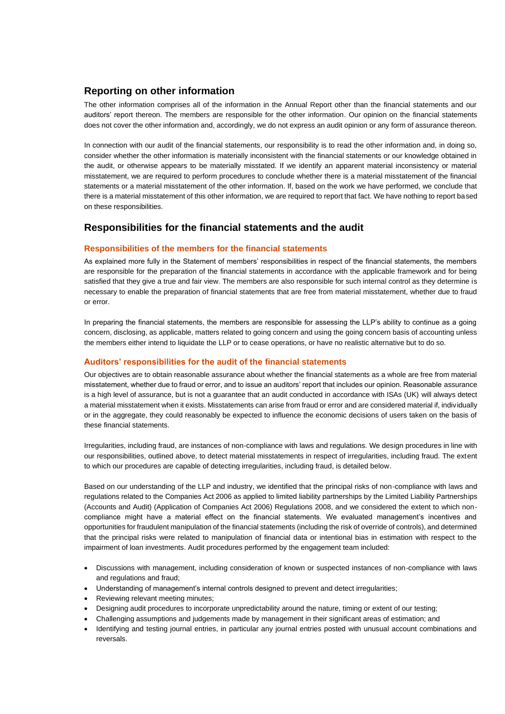#### **Reporting on other information**

The other information comprises all of the information in the Annual Report other than the financial statements and our auditors' report thereon. The members are responsible for the other information. Our opinion on the financial statements does not cover the other information and, accordingly, we do not express an audit opinion or any form of assurance thereon.

In connection with our audit of the financial statements, our responsibility is to read the other information and, in doing so, consider whether the other information is materially inconsistent with the financial statements or our knowledge obtained in the audit, or otherwise appears to be materially misstated. If we identify an apparent material inconsistency or material misstatement, we are required to perform procedures to conclude whether there is a material misstatement of the financial statements or a material misstatement of the other information. If, based on the work we have performed, we conclude that there is a material misstatement of this other information, we are required to report that fact. We have nothing to report based on these responsibilities.

#### **Responsibilities for the financial statements and the audit**

#### **Responsibilities of the members for the financial statements**

As explained more fully in the Statement of members' responsibilities in respect of the financial statements, the members are responsible for the preparation of the financial statements in accordance with the applicable framework and for being satisfied that they give a true and fair view. The members are also responsible for such internal control as they determine is necessary to enable the preparation of financial statements that are free from material misstatement, whether due to fraud or error.

In preparing the financial statements, the members are responsible for assessing the LLP's ability to continue as a going concern, disclosing, as applicable, matters related to going concern and using the going concern basis of accounting unless the members either intend to liquidate the LLP or to cease operations, or have no realistic alternative but to do so.

#### **Auditors' responsibilities for the audit of the financial statements**

Our objectives are to obtain reasonable assurance about whether the financial statements as a whole are free from material misstatement, whether due to fraud or error, and to issue an auditors' report that includes our opinion. Reasonable assurance is a high level of assurance, but is not a guarantee that an audit conducted in accordance with ISAs (UK) will always detect a material misstatement when it exists. Misstatements can arise from fraud or error and are considered material if, individually or in the aggregate, they could reasonably be expected to influence the economic decisions of users taken on the basis of these financial statements.

Irregularities, including fraud, are instances of non-compliance with laws and regulations. We design procedures in line with our responsibilities, outlined above, to detect material misstatements in respect of irregularities, including fraud. The extent to which our procedures are capable of detecting irregularities, including fraud, is detailed below.

Based on our understanding of the LLP and industry, we identified that the principal risks of non-compliance with laws and regulations related to the Companies Act 2006 as applied to limited liability partnerships by the Limited Liability Partnerships (Accounts and Audit) (Application of Companies Act 2006) Regulations 2008, and we considered the extent to which noncompliance might have a material effect on the financial statements. We evaluated management's incentives and opportunities for fraudulent manipulation of the financial statements (including the risk of override of controls), and determined that the principal risks were related to manipulation of financial data or intentional bias in estimation with respect to the impairment of loan investments. Audit procedures performed by the engagement team included:

- Discussions with management, including consideration of known or suspected instances of non-compliance with laws and regulations and fraud;
- Understanding of management's internal controls designed to prevent and detect irregularities;
- Reviewing relevant meeting minutes;
- Designing audit procedures to incorporate unpredictability around the nature, timing or extent of our testing;
- Challenging assumptions and judgements made by management in their significant areas of estimation; and
- Identifying and testing journal entries, in particular any journal entries posted with unusual account combinations and reversals.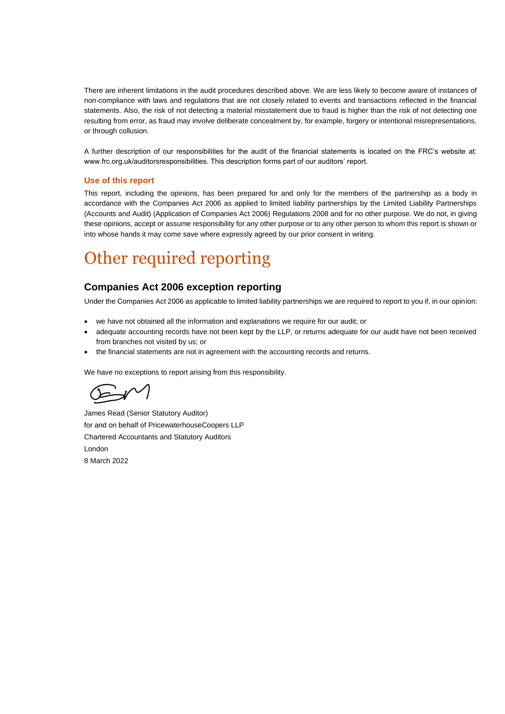There are inherent limitations in the audit procedures described above. We are less likely to become aware of instances of non-compliance with laws and regulations that are not closely related to events and transactions reflected in the financial statements. Also, the risk of not detecting a material misstatement due to fraud is higher than the risk of not detecting one resulting from error, as fraud may involve deliberate concealment by, for example, forgery or intentional misrepresentations, or through collusion.

A further description of our responsibilities for the audit of the financial statements is located on the FRC's website at: www.frc.org.uk/auditorsresponsibilities. This description forms part of our auditors' report.

#### **Use of this report**

This report, including the opinions, has been prepared for and only for the members of the partnership as a body in accordance with the Companies Act 2006 as applied to limited liability partnerships by the Limited Liability Partnerships (Accounts and Audit) (Application of Companies Act 2006) Regulations 2008 and for no other purpose. We do not, in giving these opinions, accept or assume responsibility for any other purpose or to any other person to whom this report is shown or into whose hands it may come save where expressly agreed by our prior consent in writing.

## Other required reporting

#### **Companies Act 2006 exception reporting**

Under the Companies Act 2006 as applicable to limited liability partnerships we are required to report to you if, in our opinion:

- we have not obtained all the information and explanations we require for our audit; or
- adequate accounting records have not been kept by the LLP, or returns adequate for our audit have not been received from branches not visited by us; or
- the financial statements are not in agreement with the accounting records and returns.

We have no exceptions to report arising from this responsibility.

James Read (Senior Statutory Auditor) for and on behalf of PricewaterhouseCoopers LLP Chartered Accountants and Statutory Auditors London 8 March 2022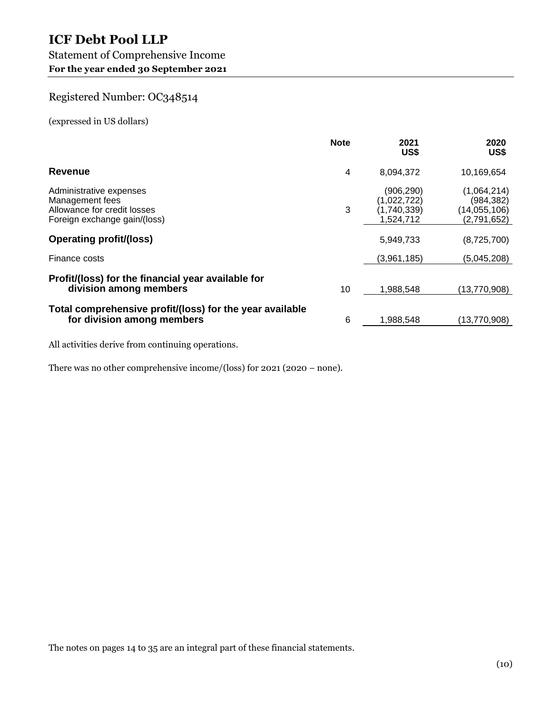#### Statement of Comprehensive Income **For the year ended 30 September 2021**

## Registered Number: OC348514

(expressed in US dollars)

|                                                                                                           | <b>Note</b> | 2021<br>US\$                                         | 2020<br>US\$                                               |
|-----------------------------------------------------------------------------------------------------------|-------------|------------------------------------------------------|------------------------------------------------------------|
| Revenue                                                                                                   | 4           | 8.094.372                                            | 10,169,654                                                 |
| Administrative expenses<br>Management fees<br>Allowance for credit losses<br>Foreign exchange gain/(loss) | 3           | (906,290)<br>(1,022,722)<br>(1,740,339)<br>1,524,712 | (1,064,214)<br>(984, 382)<br>(14, 055, 106)<br>(2,791,652) |
| <b>Operating profit/(loss)</b>                                                                            |             | 5,949,733                                            | (8,725,700)                                                |
| Finance costs                                                                                             |             | (3,961,185)                                          | (5,045,208)                                                |
| Profit/(loss) for the financial year available for<br>division among members                              | 10          | 1.988.548                                            | (13,770,908)                                               |
| Total comprehensive profit/(loss) for the year available<br>for division among members                    | 6           | 1,988,548                                            | (13,770,908)                                               |

All activities derive from continuing operations.

There was no other comprehensive income/(loss) for 2021 (2020 – none).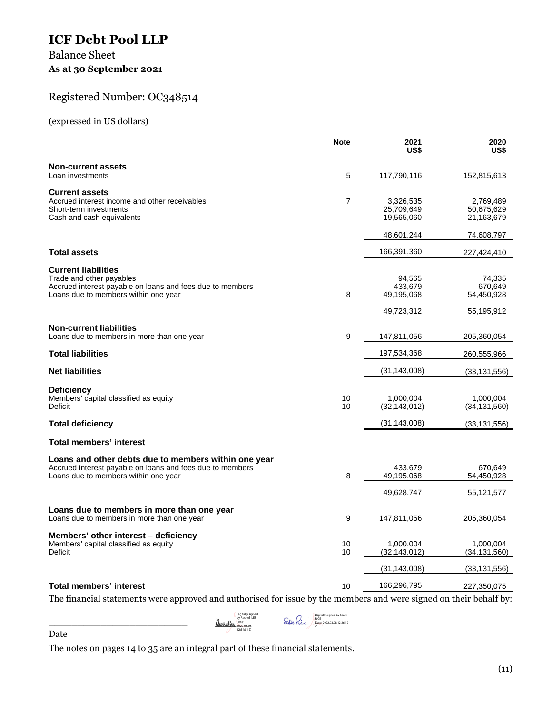### Balance Sheet As at 30 September 2021

## Registered Number: OC348514

(expressed in US dollars)

|                                                                                                                                                             | <b>Note</b>    | 2021<br>US\$                                  | 2020<br>US\$                                  |
|-------------------------------------------------------------------------------------------------------------------------------------------------------------|----------------|-----------------------------------------------|-----------------------------------------------|
| <b>Non-current assets</b><br>Loan investments                                                                                                               | 5              | 117,790,116                                   | 152,815,613                                   |
| <b>Current assets</b><br>Accrued interest income and other receivables<br>Short-term investments<br>Cash and cash equivalents                               | $\overline{7}$ | 3,326,535<br>25,709,649<br>19,565,060         | 2,769,489<br>50,675,629<br>21,163,679         |
|                                                                                                                                                             |                | 48,601,244                                    | 74,608,797                                    |
| <b>Total assets</b>                                                                                                                                         |                | 166,391,360                                   | 227,424,410                                   |
| <b>Current liabilities</b><br>Trade and other payables<br>Accrued interest payable on loans and fees due to members<br>Loans due to members within one year | 8              | 94,565<br>433,679<br>49,195,068<br>49,723,312 | 74,335<br>670,649<br>54,450,928<br>55,195,912 |
| <b>Non-current liabilities</b><br>Loans due to members in more than one year                                                                                | 9              | 147,811,056                                   | 205,360,054                                   |
| <b>Total liabilities</b>                                                                                                                                    |                | 197,534,368                                   | 260,555,966                                   |
| <b>Net liabilities</b>                                                                                                                                      |                | (31, 143, 008)                                | (33, 131, 556)                                |
| <b>Deficiency</b><br>Members' capital classified as equity<br><b>Deficit</b>                                                                                | 10<br>10       | 1,000,004<br>(32, 143, 012)                   | 1,000,004<br>(34, 131, 560)                   |
| <b>Total deficiency</b>                                                                                                                                     |                | (31, 143, 008)                                | (33, 131, 556)                                |
| <b>Total members' interest</b>                                                                                                                              |                |                                               |                                               |
| Loans and other debts due to members within one year<br>Accrued interest payable on loans and fees due to members<br>Loans due to members within one year   | 8              | 433,679<br>49,195,068                         | 670,649<br>54,450,928                         |
|                                                                                                                                                             |                | 49,628,747                                    | 55, 121, 577                                  |
| Loans due to members in more than one year<br>Loans due to members in more than one year                                                                    | 9              | 147,811,056                                   | 205,360,054                                   |
| Members' other interest – deficiency<br>Members' capital classified as equity<br>Deficit                                                                    | 10<br>10       | 1,000,004<br>(32, 143, 012)                   | 1,000,004<br>(34, 131, 560)                   |
|                                                                                                                                                             |                | (31, 143, 008)                                | (33, 131, 556)                                |
| <b>Total members' interest</b>                                                                                                                              | 10             | 166,296,795                                   | 227,350,075                                   |

The financial statements were approved and authorised for issue by the members and were signed on their behalf by:

Digitally signed by Rachel ILES Date: 2022.03.08 12:14:01 Z

Digitally signed by Scott RICE Date: 2022.03.08 12:26:12 Z

Date

\_\_\_\_\_\_\_\_\_\_\_\_\_\_\_\_\_\_\_\_\_\_\_\_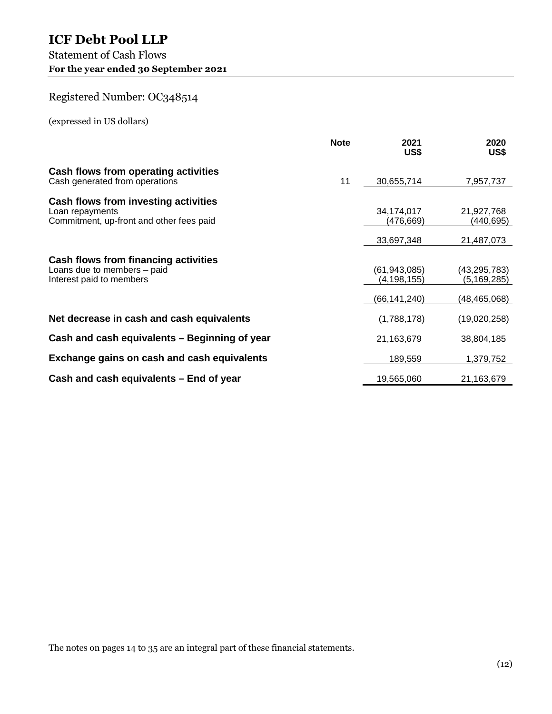### Statement of Cash Flows **For the year ended 30 September 2021**

## Registered Number: OC348514

(expressed in US dollars)

|                                                                                                     | <b>Note</b> | 2021<br>US\$                  | 2020<br>US\$                  |
|-----------------------------------------------------------------------------------------------------|-------------|-------------------------------|-------------------------------|
| Cash flows from operating activities<br>Cash generated from operations                              | 11          | 30,655,714                    | 7,957,737                     |
| Cash flows from investing activities<br>Loan repayments<br>Commitment, up-front and other fees paid |             | 34,174,017<br>(476,669)       | 21,927,768<br>(440,695)       |
|                                                                                                     |             | 33,697,348                    | 21,487,073                    |
| Cash flows from financing activities<br>Loans due to members - paid<br>Interest paid to members     |             | (61, 943, 085)<br>(4,198,155) | (43, 295, 783)<br>(5,169,285) |
|                                                                                                     |             | (66,141,240)                  | (48, 465, 068)                |
| Net decrease in cash and cash equivalents                                                           |             | (1,788,178)                   | (19,020,258)                  |
| Cash and cash equivalents – Beginning of year                                                       |             | 21,163,679                    | 38,804,185                    |
| Exchange gains on cash and cash equivalents                                                         |             | 189,559                       | 1,379,752                     |
| Cash and cash equivalents – End of year                                                             |             | 19,565,060                    | 21,163,679                    |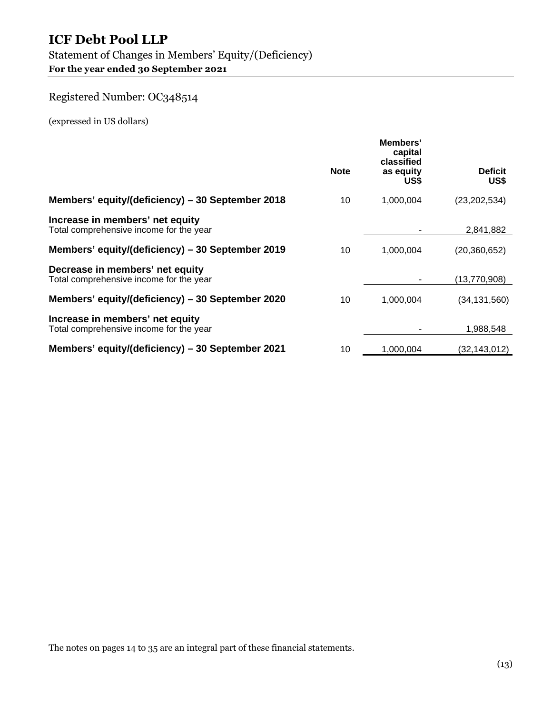### Statement of Changes in Members' Equity/(Deficiency) **For the year ended 30 September 2021**

## Registered Number: OC348514

(expressed in US dollars)

|                                                                            |             | Members'<br>capital<br>classified |                        |  |  |
|----------------------------------------------------------------------------|-------------|-----------------------------------|------------------------|--|--|
|                                                                            | <b>Note</b> | as equity<br>US\$                 | <b>Deficit</b><br>US\$ |  |  |
| Members' equity/(deficiency) – 30 September 2018                           | 10          | 1,000,004                         | (23, 202, 534)         |  |  |
| Increase in members' net equity<br>Total comprehensive income for the year |             |                                   | 2,841,882              |  |  |
| Members' equity/(deficiency) - 30 September 2019                           | 10          | 1,000,004                         | (20,360,652)           |  |  |
| Decrease in members' net equity<br>Total comprehensive income for the year |             |                                   | (13,770,908)           |  |  |
| Members' equity/(deficiency) – 30 September 2020                           | 10          | 1,000,004                         | (34,131,560)           |  |  |
| Increase in members' net equity<br>Total comprehensive income for the year |             |                                   | 1.988.548              |  |  |
| Members' equity/(deficiency) - 30 September 2021                           | 10          | 1,000,004                         | (32,143,012)           |  |  |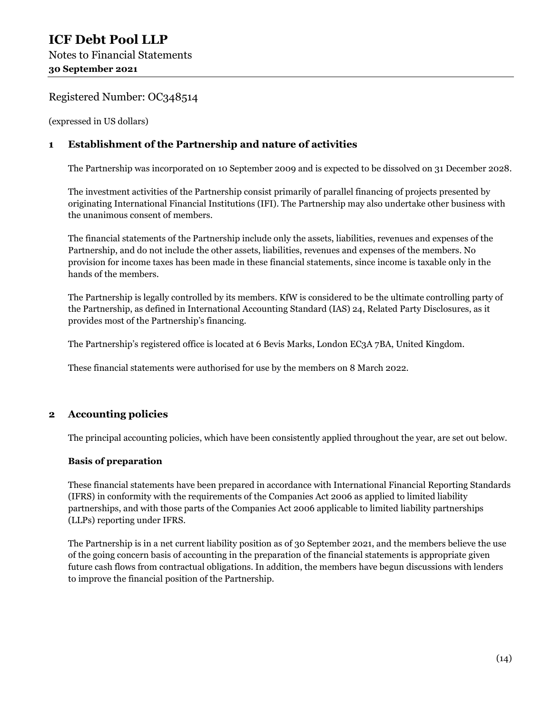(expressed in US dollars)

#### **1 Establishment of the Partnership and nature of activities**

The Partnership was incorporated on 10 September 2009 and is expected to be dissolved on 31 December 2028.

The investment activities of the Partnership consist primarily of parallel financing of projects presented by originating International Financial Institutions (IFI). The Partnership may also undertake other business with the unanimous consent of members.

The financial statements of the Partnership include only the assets, liabilities, revenues and expenses of the Partnership, and do not include the other assets, liabilities, revenues and expenses of the members. No provision for income taxes has been made in these financial statements, since income is taxable only in the hands of the members.

The Partnership is legally controlled by its members. KfW is considered to be the ultimate controlling party of the Partnership, as defined in International Accounting Standard (IAS) 24, Related Party Disclosures, as it provides most of the Partnership's financing.

The Partnership's registered office is located at 6 Bevis Marks, London EC3A 7BA, United Kingdom.

These financial statements were authorised for use by the members on 8 March 2022.

#### **2 Accounting policies**

The principal accounting policies, which have been consistently applied throughout the year, are set out below.

#### **Basis of preparation**

These financial statements have been prepared in accordance with International Financial Reporting Standards (IFRS) in conformity with the requirements of the Companies Act 2006 as applied to limited liability partnerships, and with those parts of the Companies Act 2006 applicable to limited liability partnerships (LLPs) reporting under IFRS.

The Partnership is in a net current liability position as of 30 September 2021, and the members believe the use of the going concern basis of accounting in the preparation of the financial statements is appropriate given future cash flows from contractual obligations. In addition, the members have begun discussions with lenders to improve the financial position of the Partnership.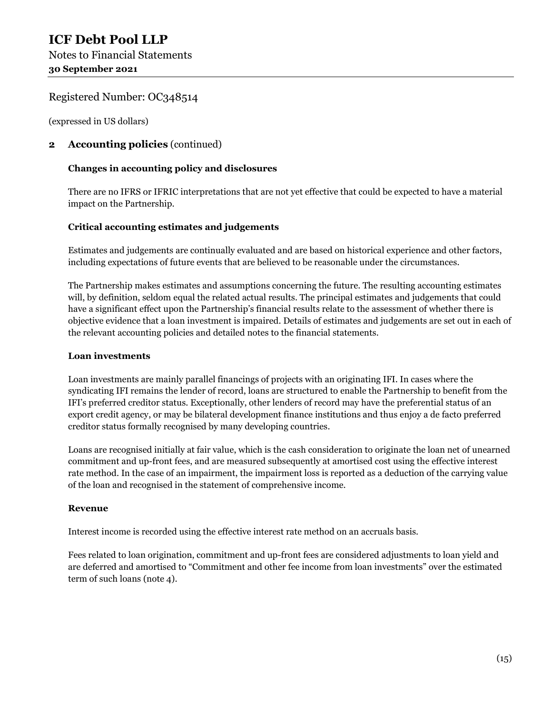(expressed in US dollars)

#### **2 Accounting policies** (continued)

#### **Changes in accounting policy and disclosures**

There are no IFRS or IFRIC interpretations that are not yet effective that could be expected to have a material impact on the Partnership.

#### **Critical accounting estimates and judgements**

Estimates and judgements are continually evaluated and are based on historical experience and other factors, including expectations of future events that are believed to be reasonable under the circumstances.

The Partnership makes estimates and assumptions concerning the future. The resulting accounting estimates will, by definition, seldom equal the related actual results. The principal estimates and judgements that could have a significant effect upon the Partnership's financial results relate to the assessment of whether there is objective evidence that a loan investment is impaired. Details of estimates and judgements are set out in each of the relevant accounting policies and detailed notes to the financial statements.

#### **Loan investments**

Loan investments are mainly parallel financings of projects with an originating IFI. In cases where the syndicating IFI remains the lender of record, loans are structured to enable the Partnership to benefit from the IFI's preferred creditor status. Exceptionally, other lenders of record may have the preferential status of an export credit agency, or may be bilateral development finance institutions and thus enjoy a de facto preferred creditor status formally recognised by many developing countries.

Loans are recognised initially at fair value, which is the cash consideration to originate the loan net of unearned commitment and up-front fees, and are measured subsequently at amortised cost using the effective interest rate method. In the case of an impairment, the impairment loss is reported as a deduction of the carrying value of the loan and recognised in the statement of comprehensive income.

#### **Revenue**

Interest income is recorded using the effective interest rate method on an accruals basis.

Fees related to loan origination, commitment and up-front fees are considered adjustments to loan yield and are deferred and amortised to "Commitment and other fee income from loan investments" over the estimated term of such loans (note 4).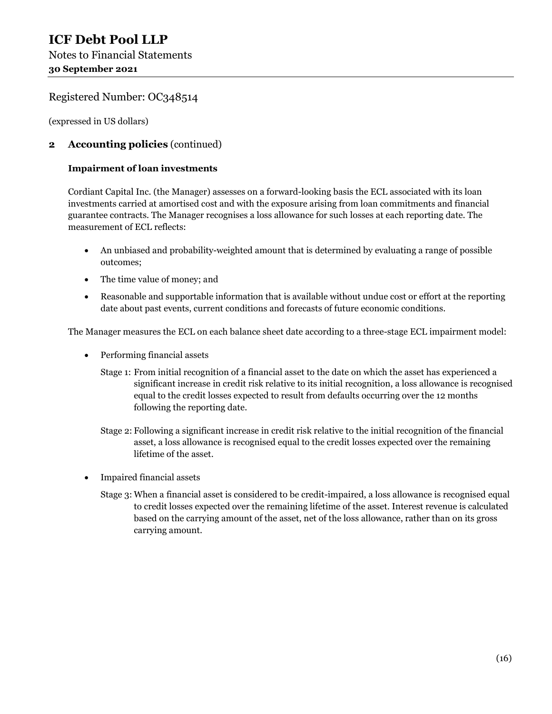(expressed in US dollars)

#### **2 Accounting policies** (continued)

#### **Impairment of loan investments**

Cordiant Capital Inc. (the Manager) assesses on a forward-looking basis the ECL associated with its loan investments carried at amortised cost and with the exposure arising from loan commitments and financial guarantee contracts. The Manager recognises a loss allowance for such losses at each reporting date. The measurement of ECL reflects:

- An unbiased and probability-weighted amount that is determined by evaluating a range of possible outcomes;
- The time value of money; and
- Reasonable and supportable information that is available without undue cost or effort at the reporting date about past events, current conditions and forecasts of future economic conditions.

The Manager measures the ECL on each balance sheet date according to a three-stage ECL impairment model:

- Performing financial assets
	- Stage 1: From initial recognition of a financial asset to the date on which the asset has experienced a significant increase in credit risk relative to its initial recognition, a loss allowance is recognised equal to the credit losses expected to result from defaults occurring over the 12 months following the reporting date.
	- Stage 2: Following a significant increase in credit risk relative to the initial recognition of the financial asset, a loss allowance is recognised equal to the credit losses expected over the remaining lifetime of the asset.
- Impaired financial assets
	- Stage 3: When a financial asset is considered to be credit-impaired, a loss allowance is recognised equal to credit losses expected over the remaining lifetime of the asset. Interest revenue is calculated based on the carrying amount of the asset, net of the loss allowance, rather than on its gross carrying amount.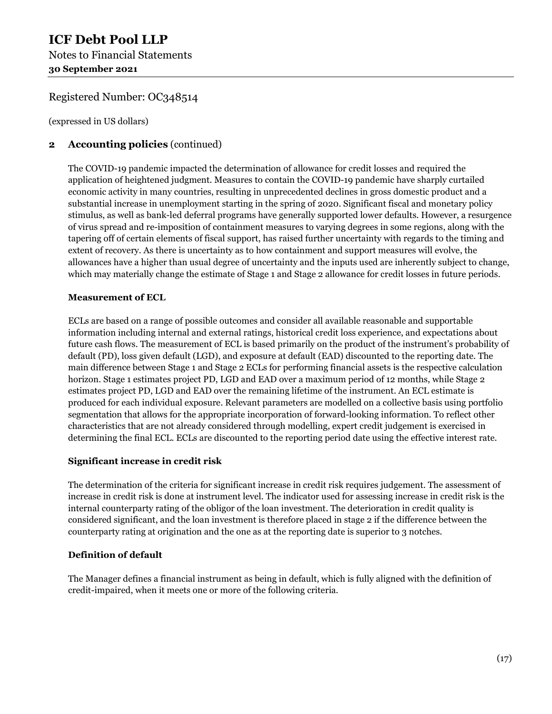## **ICF Debt Pool LLP**  Notes to Financial Statements **30 September 2021**

#### Registered Number: OC348514

(expressed in US dollars)

#### **2 Accounting policies** (continued)

The COVID-19 pandemic impacted the determination of allowance for credit losses and required the application of heightened judgment. Measures to contain the COVID-19 pandemic have sharply curtailed economic activity in many countries, resulting in unprecedented declines in gross domestic product and a substantial increase in unemployment starting in the spring of 2020. Significant fiscal and monetary policy stimulus, as well as bank-led deferral programs have generally supported lower defaults. However, a resurgence of virus spread and re-imposition of containment measures to varying degrees in some regions, along with the tapering off of certain elements of fiscal support, has raised further uncertainty with regards to the timing and extent of recovery. As there is uncertainty as to how containment and support measures will evolve, the allowances have a higher than usual degree of uncertainty and the inputs used are inherently subject to change, which may materially change the estimate of Stage 1 and Stage 2 allowance for credit losses in future periods.

#### **Measurement of ECL**

ECLs are based on a range of possible outcomes and consider all available reasonable and supportable information including internal and external ratings, historical credit loss experience, and expectations about future cash flows. The measurement of ECL is based primarily on the product of the instrument's probability of default (PD), loss given default (LGD), and exposure at default (EAD) discounted to the reporting date. The main difference between Stage 1 and Stage 2 ECLs for performing financial assets is the respective calculation horizon. Stage 1 estimates project PD, LGD and EAD over a maximum period of 12 months, while Stage 2 estimates project PD, LGD and EAD over the remaining lifetime of the instrument. An ECL estimate is produced for each individual exposure. Relevant parameters are modelled on a collective basis using portfolio segmentation that allows for the appropriate incorporation of forward-looking information. To reflect other characteristics that are not already considered through modelling, expert credit judgement is exercised in determining the final ECL. ECLs are discounted to the reporting period date using the effective interest rate.

#### **Significant increase in credit risk**

The determination of the criteria for significant increase in credit risk requires judgement. The assessment of increase in credit risk is done at instrument level. The indicator used for assessing increase in credit risk is the internal counterparty rating of the obligor of the loan investment. The deterioration in credit quality is considered significant, and the loan investment is therefore placed in stage 2 if the difference between the counterparty rating at origination and the one as at the reporting date is superior to 3 notches.

#### **Definition of default**

The Manager defines a financial instrument as being in default, which is fully aligned with the definition of credit-impaired, when it meets one or more of the following criteria.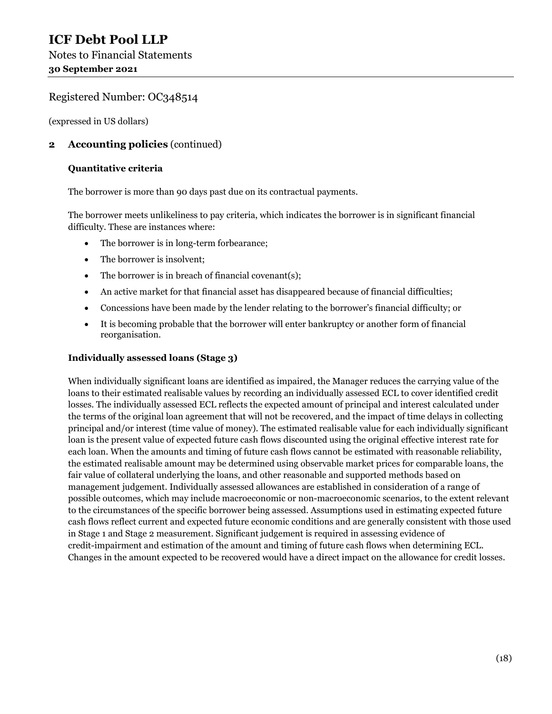(expressed in US dollars)

#### **2 Accounting policies** (continued)

#### **Quantitative criteria**

The borrower is more than 90 days past due on its contractual payments.

The borrower meets unlikeliness to pay criteria, which indicates the borrower is in significant financial difficulty. These are instances where:

- The borrower is in long-term forbearance;
- The borrower is insolvent:
- The borrower is in breach of financial covenant(s);
- An active market for that financial asset has disappeared because of financial difficulties;
- Concessions have been made by the lender relating to the borrower's financial difficulty; or
- It is becoming probable that the borrower will enter bankruptcy or another form of financial reorganisation.

#### **Individually assessed loans (Stage 3)**

When individually significant loans are identified as impaired, the Manager reduces the carrying value of the loans to their estimated realisable values by recording an individually assessed ECL to cover identified credit losses. The individually assessed ECL reflects the expected amount of principal and interest calculated under the terms of the original loan agreement that will not be recovered, and the impact of time delays in collecting principal and/or interest (time value of money). The estimated realisable value for each individually significant loan is the present value of expected future cash flows discounted using the original effective interest rate for each loan. When the amounts and timing of future cash flows cannot be estimated with reasonable reliability, the estimated realisable amount may be determined using observable market prices for comparable loans, the fair value of collateral underlying the loans, and other reasonable and supported methods based on management judgement. Individually assessed allowances are established in consideration of a range of possible outcomes, which may include macroeconomic or non-macroeconomic scenarios, to the extent relevant to the circumstances of the specific borrower being assessed. Assumptions used in estimating expected future cash flows reflect current and expected future economic conditions and are generally consistent with those used in Stage 1 and Stage 2 measurement. Significant judgement is required in assessing evidence of credit-impairment and estimation of the amount and timing of future cash flows when determining ECL. Changes in the amount expected to be recovered would have a direct impact on the allowance for credit losses.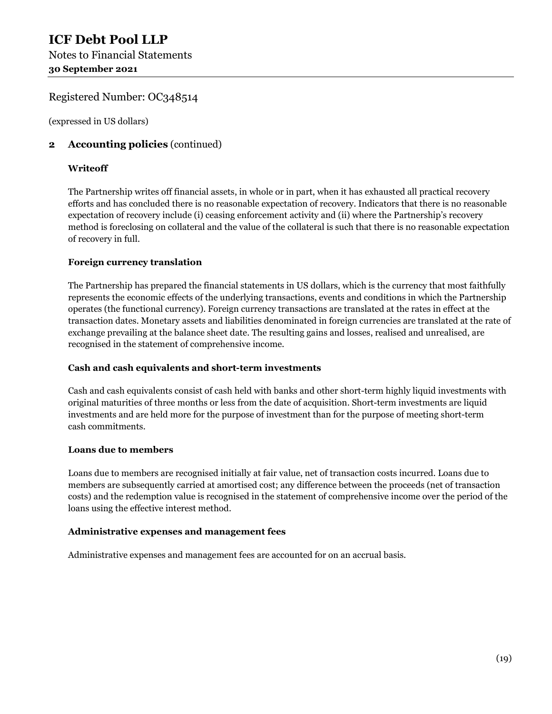(expressed in US dollars)

#### **2 Accounting policies** (continued)

#### **Writeoff**

The Partnership writes off financial assets, in whole or in part, when it has exhausted all practical recovery efforts and has concluded there is no reasonable expectation of recovery. Indicators that there is no reasonable expectation of recovery include (i) ceasing enforcement activity and (ii) where the Partnership's recovery method is foreclosing on collateral and the value of the collateral is such that there is no reasonable expectation of recovery in full.

#### **Foreign currency translation**

The Partnership has prepared the financial statements in US dollars, which is the currency that most faithfully represents the economic effects of the underlying transactions, events and conditions in which the Partnership operates (the functional currency). Foreign currency transactions are translated at the rates in effect at the transaction dates. Monetary assets and liabilities denominated in foreign currencies are translated at the rate of exchange prevailing at the balance sheet date. The resulting gains and losses, realised and unrealised, are recognised in the statement of comprehensive income.

#### **Cash and cash equivalents and short-term investments**

Cash and cash equivalents consist of cash held with banks and other short-term highly liquid investments with original maturities of three months or less from the date of acquisition. Short-term investments are liquid investments and are held more for the purpose of investment than for the purpose of meeting short-term cash commitments.

#### **Loans due to members**

Loans due to members are recognised initially at fair value, net of transaction costs incurred. Loans due to members are subsequently carried at amortised cost; any difference between the proceeds (net of transaction costs) and the redemption value is recognised in the statement of comprehensive income over the period of the loans using the effective interest method.

#### **Administrative expenses and management fees**

Administrative expenses and management fees are accounted for on an accrual basis.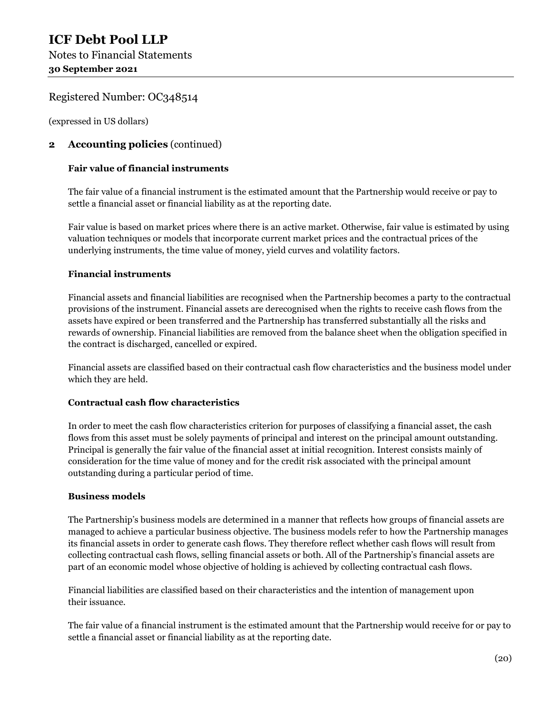(expressed in US dollars)

#### **2 Accounting policies** (continued)

#### **Fair value of financial instruments**

The fair value of a financial instrument is the estimated amount that the Partnership would receive or pay to settle a financial asset or financial liability as at the reporting date.

Fair value is based on market prices where there is an active market. Otherwise, fair value is estimated by using valuation techniques or models that incorporate current market prices and the contractual prices of the underlying instruments, the time value of money, yield curves and volatility factors.

#### **Financial instruments**

Financial assets and financial liabilities are recognised when the Partnership becomes a party to the contractual provisions of the instrument. Financial assets are derecognised when the rights to receive cash flows from the assets have expired or been transferred and the Partnership has transferred substantially all the risks and rewards of ownership. Financial liabilities are removed from the balance sheet when the obligation specified in the contract is discharged, cancelled or expired.

Financial assets are classified based on their contractual cash flow characteristics and the business model under which they are held.

#### **Contractual cash flow characteristics**

In order to meet the cash flow characteristics criterion for purposes of classifying a financial asset, the cash flows from this asset must be solely payments of principal and interest on the principal amount outstanding. Principal is generally the fair value of the financial asset at initial recognition. Interest consists mainly of consideration for the time value of money and for the credit risk associated with the principal amount outstanding during a particular period of time.

#### **Business models**

The Partnership's business models are determined in a manner that reflects how groups of financial assets are managed to achieve a particular business objective. The business models refer to how the Partnership manages its financial assets in order to generate cash flows. They therefore reflect whether cash flows will result from collecting contractual cash flows, selling financial assets or both. All of the Partnership's financial assets are part of an economic model whose objective of holding is achieved by collecting contractual cash flows.

Financial liabilities are classified based on their characteristics and the intention of management upon their issuance.

The fair value of a financial instrument is the estimated amount that the Partnership would receive for or pay to settle a financial asset or financial liability as at the reporting date.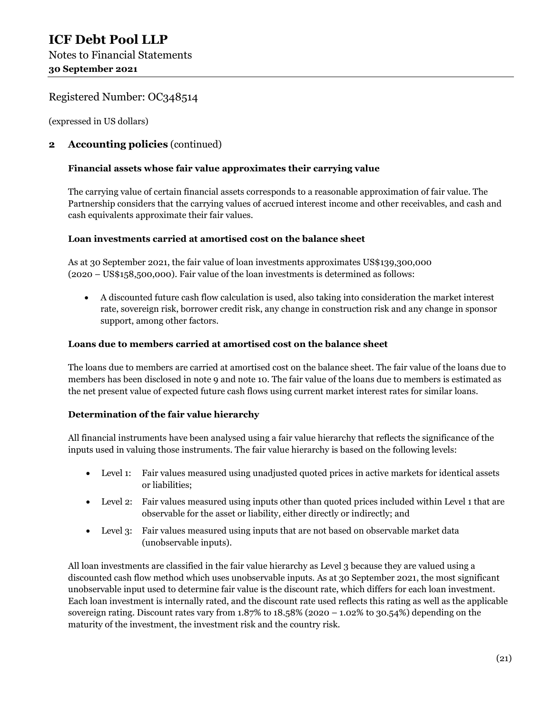(expressed in US dollars)

#### **2 Accounting policies** (continued)

#### **Financial assets whose fair value approximates their carrying value**

The carrying value of certain financial assets corresponds to a reasonable approximation of fair value. The Partnership considers that the carrying values of accrued interest income and other receivables, and cash and cash equivalents approximate their fair values.

#### **Loan investments carried at amortised cost on the balance sheet**

As at 30 September 2021, the fair value of loan investments approximates US\$139,300,000 (2020 – US\$158,500,000). Fair value of the loan investments is determined as follows:

 A discounted future cash flow calculation is used, also taking into consideration the market interest rate, sovereign risk, borrower credit risk, any change in construction risk and any change in sponsor support, among other factors.

#### **Loans due to members carried at amortised cost on the balance sheet**

The loans due to members are carried at amortised cost on the balance sheet. The fair value of the loans due to members has been disclosed in note 9 and note 10. The fair value of the loans due to members is estimated as the net present value of expected future cash flows using current market interest rates for similar loans.

#### **Determination of the fair value hierarchy**

All financial instruments have been analysed using a fair value hierarchy that reflects the significance of the inputs used in valuing those instruments. The fair value hierarchy is based on the following levels:

- Level 1: Fair values measured using unadjusted quoted prices in active markets for identical assets or liabilities;
- Level 2: Fair values measured using inputs other than quoted prices included within Level 1 that are observable for the asset or liability, either directly or indirectly; and
- Level 3: Fair values measured using inputs that are not based on observable market data (unobservable inputs).

All loan investments are classified in the fair value hierarchy as Level 3 because they are valued using a discounted cash flow method which uses unobservable inputs. As at 30 September 2021, the most significant unobservable input used to determine fair value is the discount rate, which differs for each loan investment. Each loan investment is internally rated, and the discount rate used reflects this rating as well as the applicable sovereign rating. Discount rates vary from 1.87% to 18.58% (2020 – 1.02% to 30.54%) depending on the maturity of the investment, the investment risk and the country risk.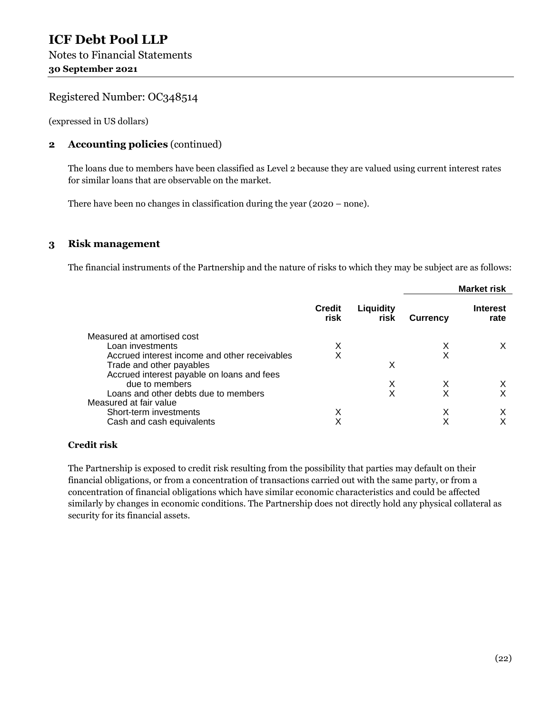(expressed in US dollars)

#### **2 Accounting policies** (continued)

The loans due to members have been classified as Level 2 because they are valued using current interest rates for similar loans that are observable on the market.

There have been no changes in classification during the year (2020 – none).

#### **3 Risk management**

The financial instruments of the Partnership and the nature of risks to which they may be subject are as follows:

|                                               |                       |                   |                 | <b>Market risk</b>      |
|-----------------------------------------------|-----------------------|-------------------|-----------------|-------------------------|
|                                               | <b>Credit</b><br>risk | Liquidity<br>risk | <b>Currency</b> | <b>Interest</b><br>rate |
| Measured at amortised cost                    |                       |                   |                 |                         |
| Loan investments                              | x                     |                   | X               | X                       |
| Accrued interest income and other receivables | Χ                     |                   | X               |                         |
| Trade and other payables                      |                       | X                 |                 |                         |
| Accrued interest payable on loans and fees    |                       |                   |                 |                         |
| due to members                                |                       | X                 | X               | X                       |
| Loans and other debts due to members          |                       | х                 | X               | X                       |
| Measured at fair value                        |                       |                   |                 |                         |
| Short-term investments                        | Χ                     |                   | X               | X                       |
| Cash and cash equivalents                     | Χ                     |                   |                 |                         |

#### **Credit risk**

The Partnership is exposed to credit risk resulting from the possibility that parties may default on their financial obligations, or from a concentration of transactions carried out with the same party, or from a concentration of financial obligations which have similar economic characteristics and could be affected similarly by changes in economic conditions. The Partnership does not directly hold any physical collateral as security for its financial assets.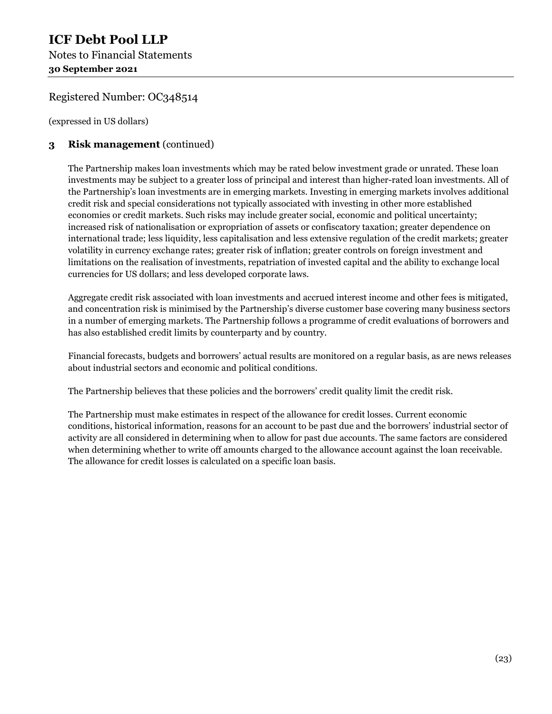## **ICF Debt Pool LLP**  Notes to Financial Statements **30 September 2021**

#### Registered Number: OC348514

(expressed in US dollars)

#### **3 Risk management** (continued)

The Partnership makes loan investments which may be rated below investment grade or unrated. These loan investments may be subject to a greater loss of principal and interest than higher-rated loan investments. All of the Partnership's loan investments are in emerging markets. Investing in emerging markets involves additional credit risk and special considerations not typically associated with investing in other more established economies or credit markets. Such risks may include greater social, economic and political uncertainty; increased risk of nationalisation or expropriation of assets or confiscatory taxation; greater dependence on international trade; less liquidity, less capitalisation and less extensive regulation of the credit markets; greater volatility in currency exchange rates; greater risk of inflation; greater controls on foreign investment and limitations on the realisation of investments, repatriation of invested capital and the ability to exchange local currencies for US dollars; and less developed corporate laws.

Aggregate credit risk associated with loan investments and accrued interest income and other fees is mitigated, and concentration risk is minimised by the Partnership's diverse customer base covering many business sectors in a number of emerging markets. The Partnership follows a programme of credit evaluations of borrowers and has also established credit limits by counterparty and by country.

Financial forecasts, budgets and borrowers' actual results are monitored on a regular basis, as are news releases about industrial sectors and economic and political conditions.

The Partnership believes that these policies and the borrowers' credit quality limit the credit risk.

The Partnership must make estimates in respect of the allowance for credit losses. Current economic conditions, historical information, reasons for an account to be past due and the borrowers' industrial sector of activity are all considered in determining when to allow for past due accounts. The same factors are considered when determining whether to write off amounts charged to the allowance account against the loan receivable. The allowance for credit losses is calculated on a specific loan basis.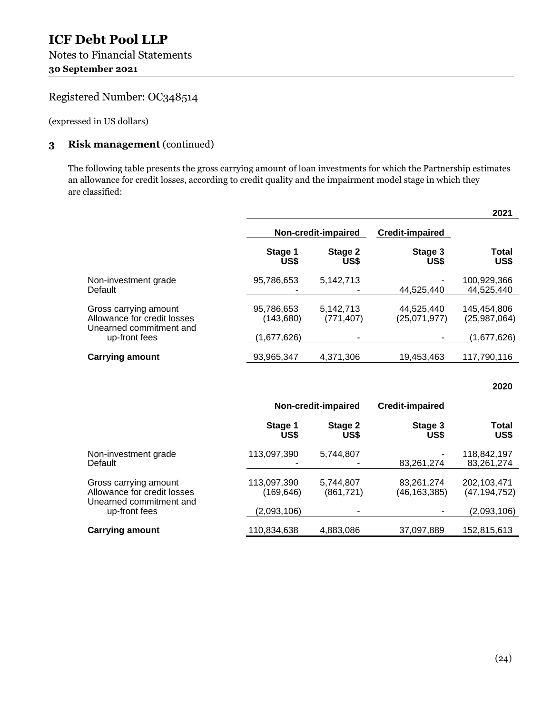(expressed in US dollars)

#### **3 Risk management** (continued)

The following table presents the gross carrying amount of loan investments for which the Partnership estimates an allowance for credit losses, according to credit quality and the impairment model stage in which they are classified:

|                                                                                 |                           |                         |                              | 2021                          |
|---------------------------------------------------------------------------------|---------------------------|-------------------------|------------------------------|-------------------------------|
|                                                                                 |                           | Non-credit-impaired     | <b>Credit-impaired</b>       |                               |
|                                                                                 | Stage 1<br>US\$           | Stage 2<br>US\$         | Stage 3<br>US\$              | <b>Total</b><br>US\$          |
| Non-investment grade<br>Default                                                 | 95,786,653                | 5,142,713               | 44,525,440                   | 100,929,366<br>44,525,440     |
| Gross carrying amount<br>Allowance for credit losses<br>Unearned commitment and | 95,786,653<br>(143,680)   | 5,142,713<br>(771, 407) | 44,525,440<br>(25,071,977)   | 145,454,806<br>(25,987,064)   |
| up-front fees                                                                   | (1,677,626)               |                         |                              | (1,677,626)                   |
| <b>Carrying amount</b>                                                          | 93,965,347                | 4,371,306               | 19,453,463                   | 117,790,116                   |
|                                                                                 |                           |                         |                              |                               |
|                                                                                 |                           |                         |                              | 2020                          |
|                                                                                 |                           | Non-credit-impaired     | <b>Credit-impaired</b>       |                               |
|                                                                                 | Stage 1<br>US\$           | Stage 2<br>US\$         | Stage 3<br>US\$              | <b>Total</b><br>US\$          |
| Non-investment grade<br>Default                                                 | 113,097,390               | 5,744,807               | 83,261,274                   | 118,842,197<br>83,261,274     |
| Gross carrying amount<br>Allowance for credit losses<br>Unearned commitment and | 113,097,390<br>(169, 646) | 5,744,807<br>(861, 721) | 83,261,274<br>(46, 163, 385) | 202,103,471<br>(47, 194, 752) |
| up-front fees                                                                   | (2,093,106)               |                         |                              | (2,093,106)                   |
| <b>Carrying amount</b>                                                          | 110,834,638               | 4,883,086               | 37,097,889                   | 152,815,613                   |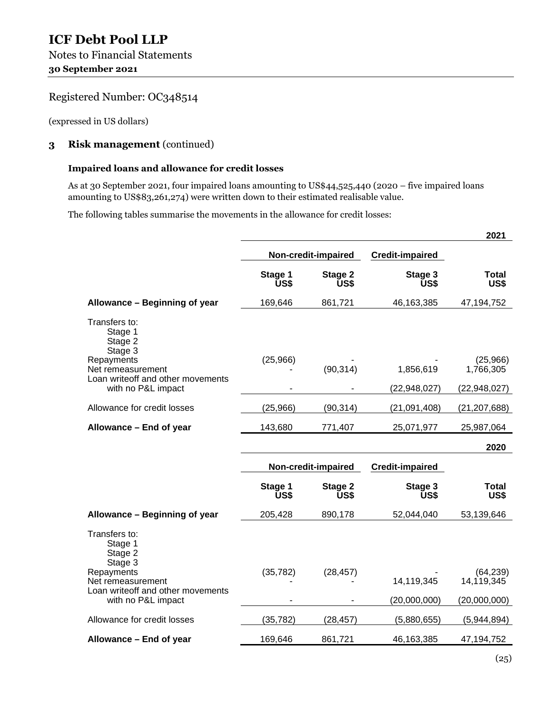(expressed in US dollars)

#### **3 Risk management** (continued)

#### **Impaired loans and allowance for credit losses**

As at 30 September 2021, four impaired loans amounting to US\$44,525,440 (2020 – five impaired loans amounting to US\$83,261,274) were written down to their estimated realisable value.

The following tables summarise the movements in the allowance for credit losses:

|                                                                                                                                              |                     | 2021                |                             |                                         |
|----------------------------------------------------------------------------------------------------------------------------------------------|---------------------|---------------------|-----------------------------|-----------------------------------------|
|                                                                                                                                              | Non-credit-impaired |                     | <b>Credit-impaired</b>      |                                         |
|                                                                                                                                              | Stage 1<br>US\$     | Stage 2<br>US\$     | Stage 3<br>US\$             | <b>Total</b><br>US\$                    |
| Allowance - Beginning of year                                                                                                                | 169,646             | 861,721             | 46,163,385                  | 47,194,752                              |
| Transfers to:<br>Stage 1<br>Stage 2<br>Stage 3<br>Repayments<br>Net remeasurement<br>Loan writeoff and other movements<br>with no P&L impact | (25,966)            | (90, 314)           | 1,856,619<br>(22, 948, 027) | (25,966)<br>1,766,305<br>(22, 948, 027) |
| Allowance for credit losses                                                                                                                  | (25, 966)           | (90, 314)           | (21,091,408)                | (21, 207, 688)                          |
| Allowance - End of year                                                                                                                      | 143,680             | 771,407             | 25,071,977                  | 25,987,064                              |
|                                                                                                                                              |                     |                     |                             | 2020                                    |
|                                                                                                                                              |                     | Non-credit-impaired | <b>Credit-impaired</b>      |                                         |
|                                                                                                                                              | Stage 1<br>US\$     | Stage 2<br>US\$     | Stage 3<br>US\$             | <b>Total</b><br>US\$                    |
| Allowance - Beginning of year                                                                                                                | 205,428             | 890,178             | 52,044,040                  | 53,139,646                              |
|                                                                                                                                              |                     |                     |                             |                                         |
| Transfers to:<br>Stage 1<br>Stage 2<br>Stage 3<br>Repayments<br>Net remeasurement                                                            | (35, 782)           | (28, 457)           | 14,119,345                  | (64, 239)<br>14, 119, 345               |
| Loan writeoff and other movements<br>with no P&L impact                                                                                      |                     |                     | (20,000,000)                | (20,000,000)                            |
| Allowance for credit losses                                                                                                                  | (35, 782)           | (28, 457)           | (5,880,655)                 | (5,944,894)                             |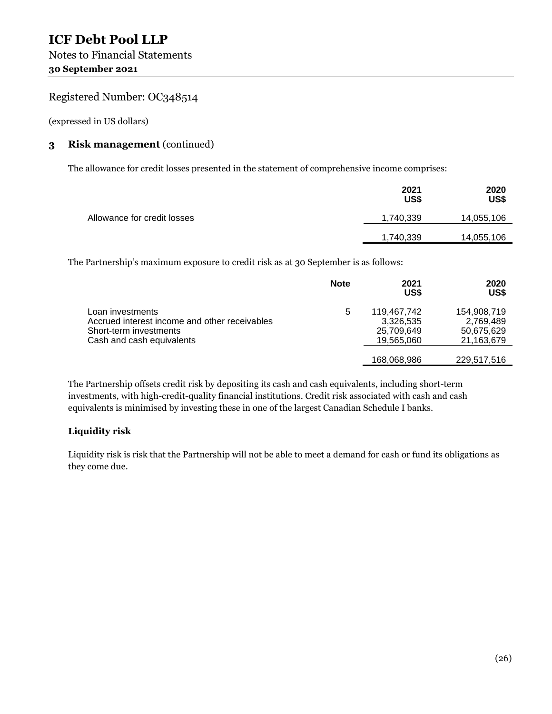(expressed in US dollars)

#### **3 Risk management** (continued)

The allowance for credit losses presented in the statement of comprehensive income comprises:

|                             | 2021<br>US\$ | 2020<br>US\$ |
|-----------------------------|--------------|--------------|
| Allowance for credit losses | 1,740,339    | 14,055,106   |
|                             | 1,740,339    | 14,055,106   |

The Partnership's maximum exposure to credit risk as at 30 September is as follows:

|                                                                                                                          | <b>Note</b> | 2021<br>US\$                                         | 2020<br>US\$                                         |
|--------------------------------------------------------------------------------------------------------------------------|-------------|------------------------------------------------------|------------------------------------------------------|
| Loan investments<br>Accrued interest income and other receivables<br>Short-term investments<br>Cash and cash equivalents | 5           | 119.467.742<br>3,326,535<br>25,709,649<br>19,565,060 | 154,908,719<br>2,769,489<br>50,675,629<br>21,163,679 |
|                                                                                                                          |             | 168,068,986                                          | 229,517,516                                          |

The Partnership offsets credit risk by depositing its cash and cash equivalents, including short-term investments, with high-credit-quality financial institutions. Credit risk associated with cash and cash equivalents is minimised by investing these in one of the largest Canadian Schedule I banks.

#### **Liquidity risk**

Liquidity risk is risk that the Partnership will not be able to meet a demand for cash or fund its obligations as they come due.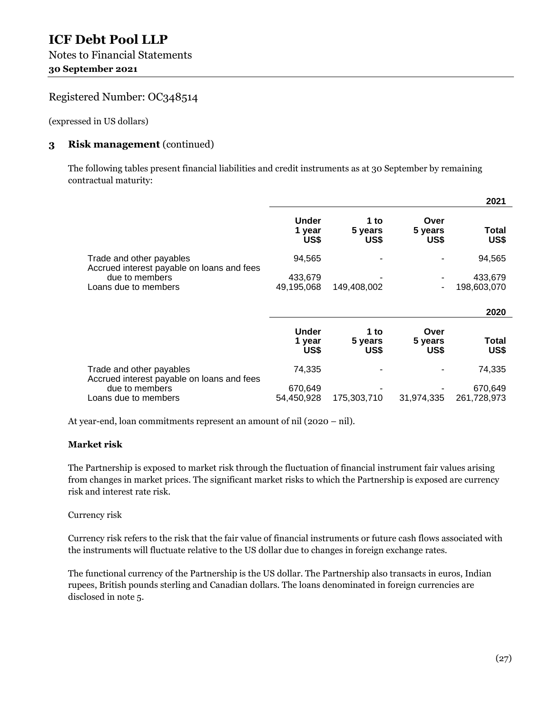(expressed in US dollars)

#### **3 Risk management** (continued)

The following tables present financial liabilities and credit instruments as at 30 September by remaining contractual maturity:

|                                                                        |                                |                         |                         | 2021                   |
|------------------------------------------------------------------------|--------------------------------|-------------------------|-------------------------|------------------------|
|                                                                        | Under<br>1 year<br>US\$        | 1 to<br>5 years<br>US\$ | Over<br>5 years<br>US\$ | Total<br>US\$          |
| Trade and other payables<br>Accrued interest payable on loans and fees | 94,565                         |                         |                         | 94,565                 |
| due to members                                                         | 433,679                        |                         |                         | 433,679                |
| Loans due to members                                                   | 49,195,068                     | 149,408,002             |                         | 198,603,070            |
|                                                                        |                                |                         |                         | 2020                   |
|                                                                        | <b>Under</b><br>1 year<br>US\$ | 1 to<br>5 years<br>US\$ | Over<br>5 years<br>US\$ | Total<br>US\$          |
| Trade and other payables<br>Accrued interest payable on loans and fees | 74,335                         |                         |                         | 74,335                 |
| due to members<br>Loans due to members                                 | 670,649<br>54,450,928          | 175,303,710             | 31,974,335              | 670,649<br>261,728,973 |

At year-end, loan commitments represent an amount of nil (2020 – nil).

#### **Market risk**

The Partnership is exposed to market risk through the fluctuation of financial instrument fair values arising from changes in market prices. The significant market risks to which the Partnership is exposed are currency risk and interest rate risk.

#### Currency risk

Currency risk refers to the risk that the fair value of financial instruments or future cash flows associated with the instruments will fluctuate relative to the US dollar due to changes in foreign exchange rates.

The functional currency of the Partnership is the US dollar. The Partnership also transacts in euros, Indian rupees, British pounds sterling and Canadian dollars. The loans denominated in foreign currencies are disclosed in note 5.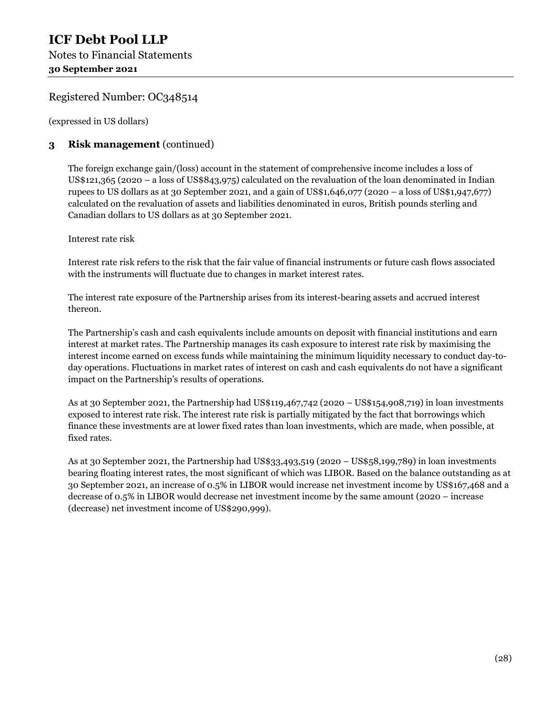(expressed in US dollars)

#### **3 Risk management** (continued)

The foreign exchange gain/(loss) account in the statement of comprehensive income includes a loss of US\$121,365 (2020 – a loss of US\$843,975) calculated on the revaluation of the loan denominated in Indian rupees to US dollars as at 30 September 2021, and a gain of US\$1,646,077 (2020 – a loss of US\$1,947,677) calculated on the revaluation of assets and liabilities denominated in euros, British pounds sterling and Canadian dollars to US dollars as at 30 September 2021.

#### Interest rate risk

Interest rate risk refers to the risk that the fair value of financial instruments or future cash flows associated with the instruments will fluctuate due to changes in market interest rates.

The interest rate exposure of the Partnership arises from its interest-bearing assets and accrued interest thereon.

The Partnership's cash and cash equivalents include amounts on deposit with financial institutions and earn interest at market rates. The Partnership manages its cash exposure to interest rate risk by maximising the interest income earned on excess funds while maintaining the minimum liquidity necessary to conduct day-today operations. Fluctuations in market rates of interest on cash and cash equivalents do not have a significant impact on the Partnership's results of operations.

As at 30 September 2021, the Partnership had US\$119,467,742 (2020 – US\$154,908,719) in loan investments exposed to interest rate risk. The interest rate risk is partially mitigated by the fact that borrowings which finance these investments are at lower fixed rates than loan investments, which are made, when possible, at fixed rates.

As at 30 September 2021, the Partnership had US\$33,493,519 (2020 – US\$58,199,789) in loan investments bearing floating interest rates, the most significant of which was LIBOR. Based on the balance outstanding as at 30 September 2021, an increase of 0.5% in LIBOR would increase net investment income by US\$167,468 and a decrease of 0.5% in LIBOR would decrease net investment income by the same amount (2020 – increase (decrease) net investment income of US\$290,999).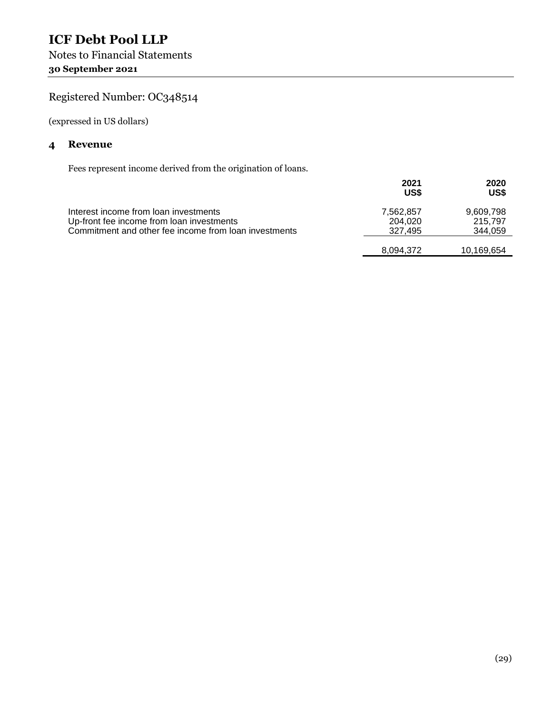## **ICF Debt Pool LLP**  Notes to Financial Statements **30 September 2021**

## Registered Number: OC348514

(expressed in US dollars)

#### **4 Revenue**

Fees represent income derived from the origination of loans.

|                                                                                                                                             | 2021<br>US\$                    | 2020<br>US\$                    |
|---------------------------------------------------------------------------------------------------------------------------------------------|---------------------------------|---------------------------------|
| Interest income from loan investments<br>Up-front fee income from loan investments<br>Commitment and other fee income from loan investments | 7,562,857<br>204,020<br>327.495 | 9,609,798<br>215,797<br>344,059 |
|                                                                                                                                             | 8,094,372                       | 10,169,654                      |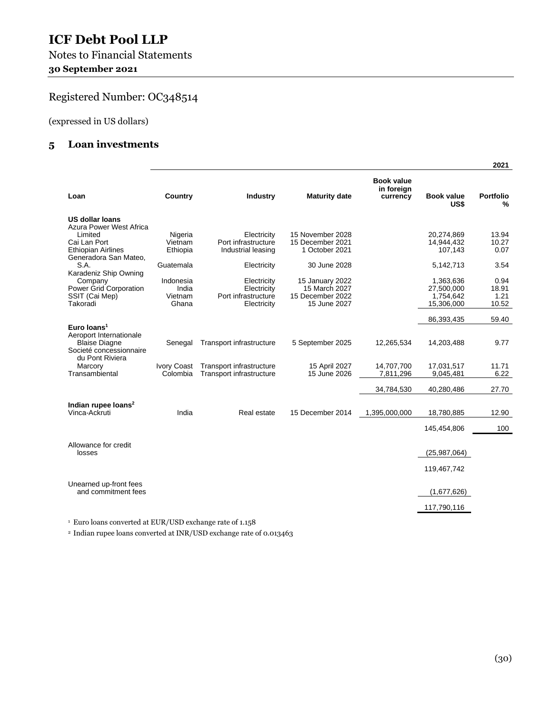Notes to Financial Statements **30 September 2021** 

## Registered Number: OC348514

(expressed in US dollars)

#### **5 Loan investments**

|                                                                                                       |                                        |                                                                  |                                                                      |                                             |                                                    | 2021                           |
|-------------------------------------------------------------------------------------------------------|----------------------------------------|------------------------------------------------------------------|----------------------------------------------------------------------|---------------------------------------------|----------------------------------------------------|--------------------------------|
| Loan                                                                                                  | Country                                | <b>Industry</b>                                                  | <b>Maturity date</b>                                                 | <b>Book value</b><br>in foreign<br>currency | <b>Book value</b><br>US\$                          | <b>Portfolio</b><br>%          |
| <b>US dollar loans</b><br>Azura Power West Africa<br>Limited<br>Cai Lan Port                          | Nigeria<br>Vietnam                     | Electricity<br>Port infrastructure                               | 15 November 2028<br>15 December 2021                                 |                                             | 20,274,869<br>14,944,432                           | 13.94<br>10.27                 |
| <b>Ethiopian Airlines</b><br>Generadora San Mateo,                                                    | Ethiopia                               | Industrial leasing                                               | 1 October 2021                                                       |                                             | 107,143                                            | 0.07                           |
| S.A.<br>Karadeniz Ship Owning                                                                         | Guatemala                              | Electricity                                                      | 30 June 2028                                                         |                                             | 5,142,713                                          | 3.54                           |
| Company<br>Power Grid Corporation<br>SSIT (Cai Mep)<br>Takoradi                                       | Indonesia<br>India<br>Vietnam<br>Ghana | Electricity<br>Electricity<br>Port infrastructure<br>Electricity | 15 January 2022<br>15 March 2027<br>15 December 2022<br>15 June 2027 |                                             | 1,363,636<br>27,500,000<br>1,754,642<br>15,306,000 | 0.94<br>18.91<br>1.21<br>10.52 |
|                                                                                                       |                                        |                                                                  |                                                                      |                                             | 86,393,435                                         | 59.40                          |
| Euro Ioans <sup>1</sup><br>Aeroport Internationale<br><b>Blaise Diagne</b><br>Societé concessionnaire | Senegal                                | Transport infrastructure                                         | 5 September 2025                                                     | 12,265,534                                  | 14,203,488                                         | 9.77                           |
| du Pont Riviera<br>Marcory<br>Transambiental                                                          | <b>Ivory Coast</b><br>Colombia         | Transport infrastructure<br>Transport infrastructure             | 15 April 2027<br>15 June 2026                                        | 14,707,700<br>7,811,296                     | 17,031,517<br>9,045,481                            | 11.71<br>6.22                  |
|                                                                                                       |                                        |                                                                  |                                                                      | 34,784,530                                  | 40,280,486                                         | 27.70                          |
| Indian rupee loans <sup>2</sup><br>Vinca-Ackruti                                                      | India                                  | Real estate                                                      | 15 December 2014                                                     | 1,395,000,000                               | 18,780,885                                         | 12.90                          |
|                                                                                                       |                                        |                                                                  |                                                                      |                                             | 145,454,806                                        | 100                            |
| Allowance for credit<br>losses                                                                        |                                        |                                                                  |                                                                      |                                             | (25,987,064)                                       |                                |
|                                                                                                       |                                        |                                                                  |                                                                      |                                             | 119,467,742                                        |                                |
| Unearned up-front fees<br>and commitment fees                                                         |                                        |                                                                  |                                                                      |                                             | (1,677,626)                                        |                                |
|                                                                                                       |                                        |                                                                  |                                                                      |                                             | 117,790,116                                        |                                |

1 Euro loans converted at EUR/USD exchange rate of 1.158

2 Indian rupee loans converted at INR/USD exchange rate of 0.013463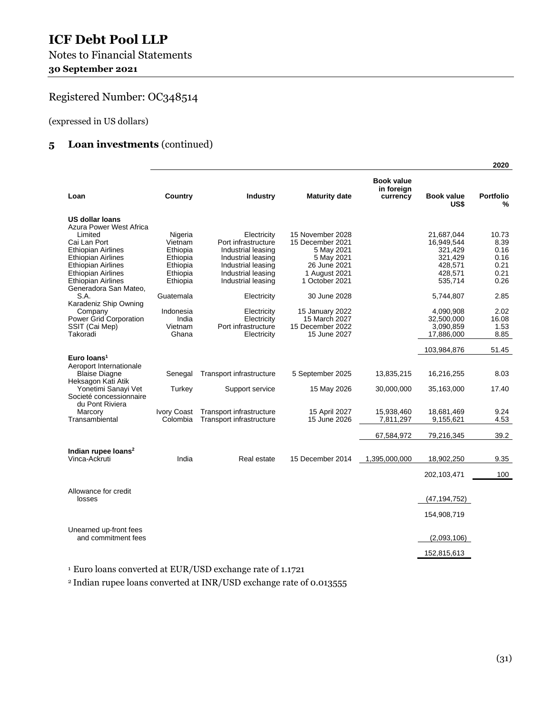Notes to Financial Statements **30 September 2021** 

## Registered Number: OC348514

(expressed in US dollars)

#### **5 Loan investments** (continued)

|                                                        |                      |                                           |                          |                                             |                           | 2020                  |
|--------------------------------------------------------|----------------------|-------------------------------------------|--------------------------|---------------------------------------------|---------------------------|-----------------------|
| Loan                                                   | Country              | Industry                                  | <b>Maturity date</b>     | <b>Book value</b><br>in foreian<br>currency | <b>Book value</b><br>US\$ | <b>Portfolio</b><br>% |
| <b>US dollar loans</b>                                 |                      |                                           |                          |                                             |                           |                       |
| Azura Power West Africa                                |                      |                                           |                          |                                             |                           |                       |
| Limited                                                | Nigeria              | Electricity                               | 15 November 2028         |                                             | 21,687,044                | 10.73                 |
| Cai Lan Port                                           | Vietnam              | Port infrastructure<br>Industrial leasing | 15 December 2021         |                                             | 16,949,544                | 8.39<br>0.16          |
| <b>Ethiopian Airlines</b><br><b>Ethiopian Airlines</b> | Ethiopia<br>Ethiopia | Industrial leasing                        | 5 May 2021<br>5 May 2021 |                                             | 321,429<br>321,429        | 0.16                  |
| <b>Ethiopian Airlines</b>                              | Ethiopia             | Industrial leasing                        | 26 June 2021             |                                             | 428,571                   | 0.21                  |
| <b>Ethiopian Airlines</b>                              | Ethiopia             | Industrial leasing                        | 1 August 2021            |                                             | 428,571                   | 0.21                  |
| <b>Ethiopian Airlines</b>                              | Ethiopia             | Industrial leasing                        | 1 October 2021           |                                             | 535,714                   | 0.26                  |
| Generadora San Mateo,                                  |                      |                                           |                          |                                             |                           |                       |
| S.A.                                                   | Guatemala            | Electricity                               | 30 June 2028             |                                             | 5,744,807                 | 2.85                  |
| Karadeniz Ship Owning                                  |                      |                                           |                          |                                             |                           |                       |
| Company                                                | Indonesia            | Electricity                               | 15 January 2022          |                                             | 4,090,908                 | 2.02                  |
| Power Grid Corporation                                 | India                | Electricity                               | 15 March 2027            |                                             | 32,500,000                | 16.08                 |
| SSIT (Cai Mep)                                         | Vietnam              | Port infrastructure                       | 15 December 2022         |                                             | 3,090,859                 | 1.53                  |
| Takoradi                                               | Ghana                | Electricity                               | 15 June 2027             |                                             | 17,886,000                | 8.85                  |
|                                                        |                      |                                           |                          |                                             | 103,984,876               | 51.45                 |
| Euro Ioans <sup>1</sup>                                |                      |                                           |                          |                                             |                           |                       |
| Aeroport Internationale                                |                      |                                           |                          |                                             |                           |                       |
| <b>Blaise Diagne</b>                                   | Senegal              | Transport infrastructure                  | 5 September 2025         | 13,835,215                                  | 16,216,255                | 8.03                  |
| Heksagon Kati Atik                                     |                      |                                           |                          |                                             |                           |                       |
| Yonetimi Sanayi Vet<br>Societé concessionnaire         | Turkey               | Support service                           | 15 May 2026              | 30,000,000                                  | 35,163,000                | 17.40                 |
| du Pont Riviera                                        |                      |                                           |                          |                                             |                           |                       |
| Marcory                                                | <b>Ivory Coast</b>   | Transport infrastructure                  | 15 April 2027            | 15,938,460                                  | 18,681,469                | 9.24                  |
| Transambiental                                         | Colombia             | Transport infrastructure                  | 15 June 2026             | 7,811,297                                   | 9,155,621                 | 4.53                  |
|                                                        |                      |                                           |                          |                                             |                           |                       |
|                                                        |                      |                                           |                          | 67,584,972                                  | 79,216,345                | 39.2                  |
| Indian rupee loans <sup>2</sup>                        |                      |                                           |                          |                                             |                           |                       |
| Vinca-Ackruti                                          | India                | Real estate                               | 15 December 2014         | 1,395,000,000                               | 18,902,250                | 9.35                  |
|                                                        |                      |                                           |                          |                                             |                           |                       |
|                                                        |                      |                                           |                          |                                             | 202,103,471               | 100                   |
|                                                        |                      |                                           |                          |                                             |                           |                       |
| Allowance for credit<br>losses                         |                      |                                           |                          |                                             |                           |                       |
|                                                        |                      |                                           |                          |                                             | (47,194,752)              |                       |
|                                                        |                      |                                           |                          |                                             | 154,908,719               |                       |
|                                                        |                      |                                           |                          |                                             |                           |                       |
| Unearned up-front fees<br>and commitment fees          |                      |                                           |                          |                                             | (2,093,106)               |                       |
|                                                        |                      |                                           |                          |                                             |                           |                       |
|                                                        |                      |                                           |                          |                                             | 152,815,613               |                       |

1 Euro loans converted at EUR/USD exchange rate of 1.1721

2 Indian rupee loans converted at INR/USD exchange rate of 0.013555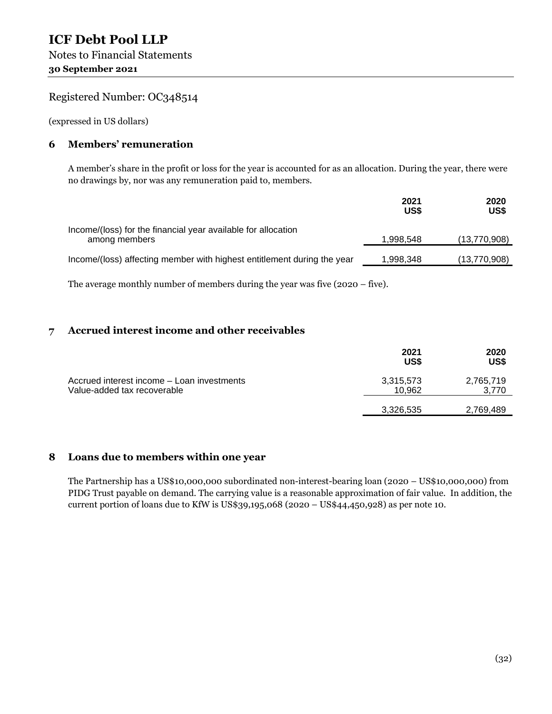(expressed in US dollars)

#### **6 Members' remuneration**

A member's share in the profit or loss for the year is accounted for as an allocation. During the year, there were no drawings by, nor was any remuneration paid to, members.

|                                                                                | 2021<br>US\$ | 2020<br>US\$ |
|--------------------------------------------------------------------------------|--------------|--------------|
| Income/(loss) for the financial year available for allocation<br>among members | 1,998,548    | (13,770,908) |
| Income/(loss) affecting member with highest entitlement during the year        | 1,998,348    | (13,770,908) |

The average monthly number of members during the year was five (2020 – five).

#### **7 Accrued interest income and other receivables**

|                                                                           | 2021<br>US\$        | 2020<br>US\$       |
|---------------------------------------------------------------------------|---------------------|--------------------|
| Accrued interest income - Loan investments<br>Value-added tax recoverable | 3,315,573<br>10.962 | 2,765,719<br>3,770 |
|                                                                           | 3,326,535           | 2,769,489          |

#### **8 Loans due to members within one year**

The Partnership has a US\$10,000,000 subordinated non-interest-bearing loan (2020 – US\$10,000,000) from PIDG Trust payable on demand. The carrying value is a reasonable approximation of fair value. In addition, the current portion of loans due to KfW is US\$39,195,068 (2020 – US\$44,450,928) as per note 10.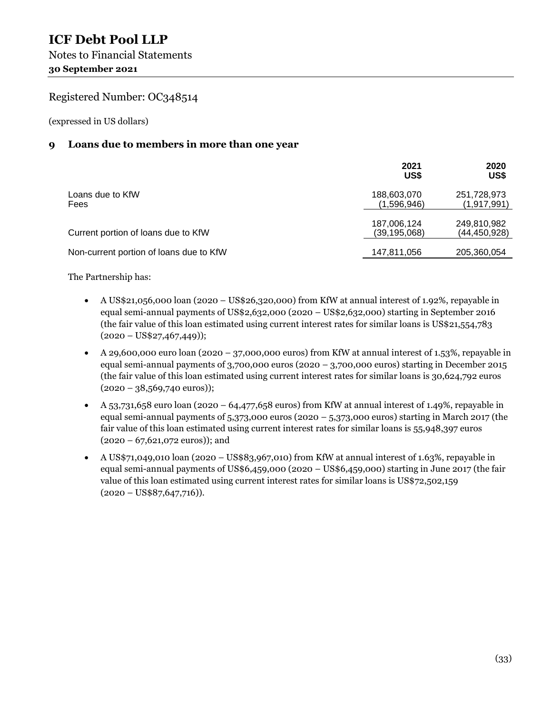(expressed in US dollars)

#### **9 Loans due to members in more than one year**

|                                         | 2021<br>US\$                  | 2020<br>US\$                  |
|-----------------------------------------|-------------------------------|-------------------------------|
| Loans due to KfW<br>Fees                | 188,603,070<br>(1,596,946)    | 251,728,973<br>(1, 917, 991)  |
| Current portion of loans due to KfW     | 187,006,124<br>(39, 195, 068) | 249,810,982<br>(44, 450, 928) |
| Non-current portion of loans due to KfW | 147,811,056                   | 205,360,054                   |

The Partnership has:

- A US\$21,056,000 loan (2020 US\$26,320,000) from KfW at annual interest of 1.92%, repayable in equal semi-annual payments of US\$2,632,000 (2020 – US\$2,632,000) starting in September 2016 (the fair value of this loan estimated using current interest rates for similar loans is US\$21,554,783  $(2020 - US$27,467,449$ );
- A 29,600,000 euro loan (2020 37,000,000 euros) from KfW at annual interest of 1.53%, repayable in equal semi-annual payments of 3,700,000 euros (2020 – 3,700,000 euros) starting in December 2015 (the fair value of this loan estimated using current interest rates for similar loans is 30,624,792 euros  $(2020 - 38,569,740 \text{ euros})$ ;
- $\blacktriangleright$  A 53,731,658 euro loan (2020 64,477,658 euros) from KfW at annual interest of 1.49%, repayable in equal semi-annual payments of 5,373,000 euros (2020 – 5,373,000 euros) starting in March 2017 (the fair value of this loan estimated using current interest rates for similar loans is 55,948,397 euros (2020 – 67,621,072 euros)); and
- A US\$71,049,010 loan (2020 US\$83,967,010) from KfW at annual interest of 1.63%, repayable in equal semi-annual payments of US\$6,459,000 (2020 – US\$6,459,000) starting in June 2017 (the fair value of this loan estimated using current interest rates for similar loans is US\$72,502,159  $(2020 - US$87,647,716)$ ).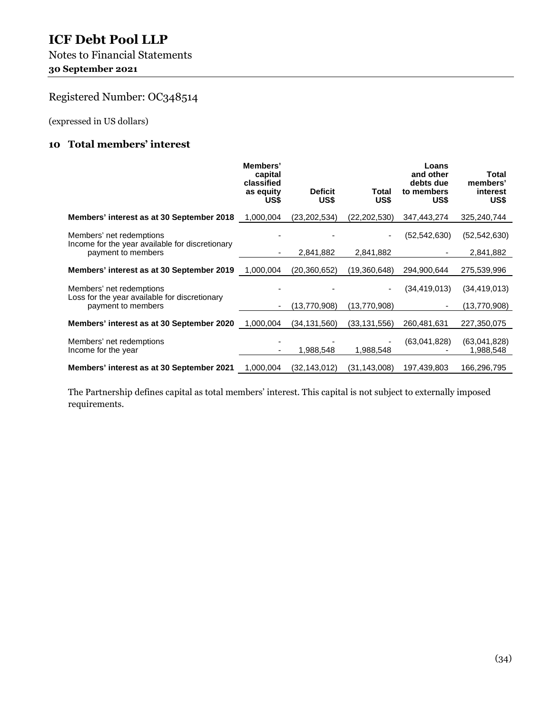Notes to Financial Statements **30 September 2021** 

## Registered Number: OC348514

(expressed in US dollars)

#### **10 Total members' interest**

|                                                                             | Members'<br>capital<br>classified<br>as equity<br>US\$ | <b>Deficit</b><br>US\$ | Total<br>US\$  | Loans<br>and other<br>debts due<br>to members<br>US\$ | Total<br>members'<br>interest<br>US\$ |
|-----------------------------------------------------------------------------|--------------------------------------------------------|------------------------|----------------|-------------------------------------------------------|---------------------------------------|
| Members' interest as at 30 September 2018                                   | 1,000,004                                              | (23, 202, 534)         | (22, 202, 530) | 347,443,274                                           | 325,240,744                           |
| Members' net redemptions<br>Income for the year available for discretionary |                                                        |                        |                | (52, 542, 630)                                        | (52, 542, 630)                        |
| payment to members                                                          |                                                        | 2,841,882              | 2,841,882      |                                                       | 2,841,882                             |
| Members' interest as at 30 September 2019                                   | 1,000,004                                              | (20, 360, 652)         | (19,360,648)   | 294,900,644                                           | 275,539,996                           |
| Members' net redemptions<br>Loss for the year available for discretionary   |                                                        |                        |                | (34, 419, 013)                                        | (34, 419, 013)                        |
| payment to members                                                          |                                                        | (13,770,908)           | (13,770,908)   |                                                       | (13,770,908)                          |
| Members' interest as at 30 September 2020                                   | 1,000,004                                              | (34, 131, 560)         | (33, 131, 556) | 260,481,631                                           | 227,350,075                           |
| Members' net redemptions<br>Income for the year                             |                                                        | 1,988,548              | 1,988,548      | (63,041,828)                                          | (63,041,828)<br>1,988,548             |
| Members' interest as at 30 September 2021                                   | 1,000,004                                              | (32, 143, 012)         | (31,143,008)   | 197,439,803                                           | 166,296,795                           |

The Partnership defines capital as total members' interest. This capital is not subject to externally imposed requirements.